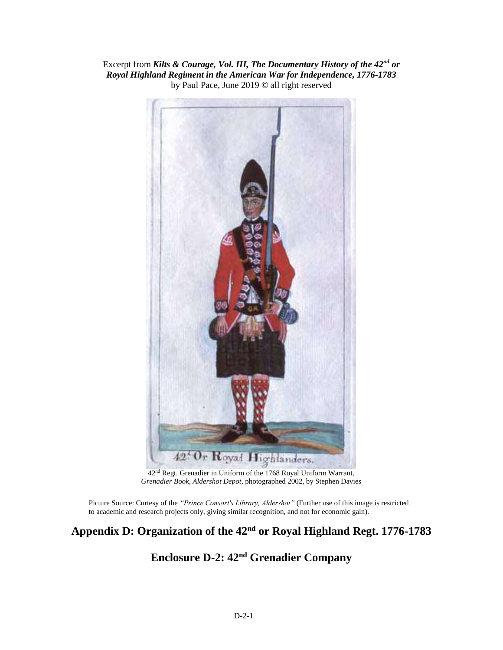Excerpt from *Kilts & Courage, Vol. III, The Documentary History of the 42nd or Royal Highland Regiment in the American War for Independence, 1776-1783* by Paul Pace, June 2019 © all right reserved



42nd Regt. Grenadier in Uniform of the 1768 Royal Uniform Warrant, *Grenadier Book, Aldershot Depot*, photographed 2002, by Stephen Davies

Picture Source: Curtesy of the *"Prince Consort's Library, Aldershot"* (Further use of this image is restricted to academic and research projects only, giving similar recognition, and not for economic gain).

## **Appendix D: Organization of the 42nd or Royal Highland Regt. 1776-1783**

# **Enclosure D-2: 42nd Grenadier Company**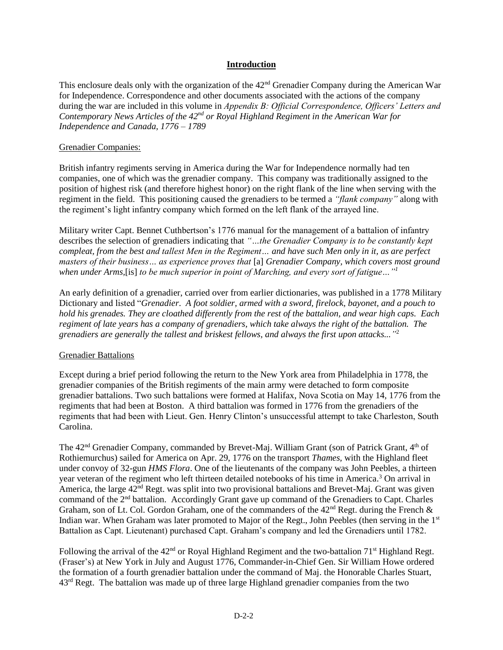#### **Introduction**

This enclosure deals only with the organization of the 42nd Grenadier Company during the American War for Independence. Correspondence and other documents associated with the actions of the company during the war are included in this volume in *Appendix B: Official Correspondence, Officers' Letters and Contemporary News Articles of the 42nd or Royal Highland Regiment in the American War for Independence and Canada, 1776 – 1789*

#### Grenadier Companies:

British infantry regiments serving in America during the War for Independence normally had ten companies, one of which was the grenadier company. This company was traditionally assigned to the position of highest risk (and therefore highest honor) on the right flank of the line when serving with the regiment in the field. This positioning caused the grenadiers to be termed a *"flank company"* along with the regiment's light infantry company which formed on the left flank of the arrayed line.

Military writer Capt. Bennet Cuthbertson's 1776 manual for the management of a battalion of infantry describes the selection of grenadiers indicating that *"…the Grenadier Company is to be constantly kept compleat, from the best and tallest Men in the Regiment… and have such Men only in it, as are perfect masters of their business… as experience proves that* [a] *Grenadier Company, which covers most ground when under Arms,*[is] *to be much superior in point of Marching, and every sort of fatigue…"<sup>1</sup>*

An early definition of a grenadier, carried over from earlier dictionaries, was published in a 1778 Military Dictionary and listed "*Grenadier*. *A foot soldier, armed with a sword, firelock, bayonet, and a pouch to hold his grenades. They are cloathed differently from the rest of the battalion, and wear high caps. Each regiment of late years has a company of grenadiers, which take always the right of the battalion. The grenadiers are generally the tallest and briskest fellows, and always the first upon attacks..."* 2

#### Grenadier Battalions

Except during a brief period following the return to the New York area from Philadelphia in 1778, the grenadier companies of the British regiments of the main army were detached to form composite grenadier battalions. Two such battalions were formed at Halifax, Nova Scotia on May 14, 1776 from the regiments that had been at Boston. A third battalion was formed in 1776 from the grenadiers of the regiments that had been with Lieut. Gen. Henry Clinton's unsuccessful attempt to take Charleston, South Carolina.

The 42<sup>nd</sup> Grenadier Company, commanded by Brevet-Maj. William Grant (son of Patrick Grant, 4<sup>th</sup> of Rothiemurchus) sailed for America on Apr. 29, 1776 on the transport *Thames,* with the Highland fleet under convoy of 32-gun *HMS Flora*. One of the lieutenants of the company was John Peebles, a thirteen year veteran of the regiment who left thirteen detailed notebooks of his time in America.<sup>3</sup> On arrival in America, the large  $42<sup>nd</sup>$  Regt. was split into two provisional battalions and Brevet-Maj. Grant was given command of the  $2<sup>nd</sup>$  battalion. Accordingly Grant gave up command of the Grenadiers to Capt. Charles Graham, son of Lt. Col. Gordon Graham, one of the commanders of the  $42<sup>nd</sup>$  Regt. during the French & Indian war. When Graham was later promoted to Major of the Regt., John Peebles (then serving in the 1<sup>st</sup> Battalion as Capt. Lieutenant) purchased Capt. Graham's company and led the Grenadiers until 1782.

Following the arrival of the 42<sup>nd</sup> or Royal Highland Regiment and the two-battalion 71<sup>st</sup> Highland Regt. (Fraser's) at New York in July and August 1776, Commander-in-Chief Gen. Sir William Howe ordered the formation of a fourth grenadier battalion under the command of Maj. the Honorable Charles Stuart, 43rd Regt. The battalion was made up of three large Highland grenadier companies from the two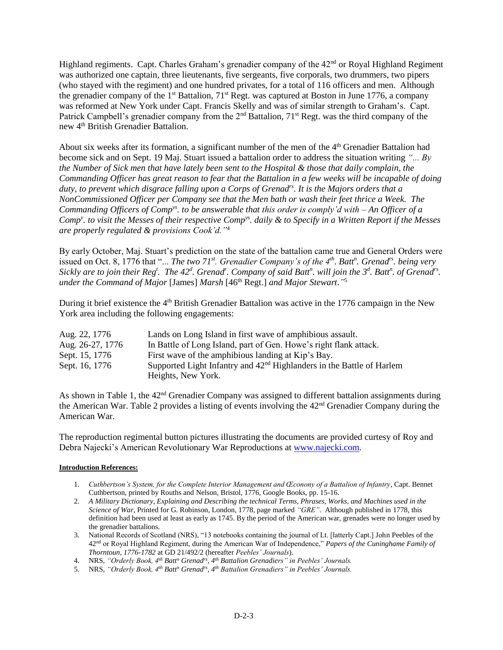Highland regiments. Capt. Charles Graham's grenadier company of the 42<sup>nd</sup> or Royal Highland Regiment was authorized one captain, three lieutenants, five sergeants, five corporals, two drummers, two pipers (who stayed with the regiment) and one hundred privates, for a total of 116 officers and men. Although the grenadier company of the  $1<sup>st</sup>$  Battalion,  $71<sup>st</sup>$  Regt. was captured at Boston in June 1776, a company was reformed at New York under Capt. Francis Skelly and was of similar strength to Graham's. Capt. Patrick Campbell's grenadier company from the 2<sup>nd</sup> Battalion, 71<sup>st</sup> Regt. was the third company of the new 4th British Grenadier Battalion.

About six weeks after its formation, a significant number of the men of the  $4<sup>th</sup>$  Grenadier Battalion had become sick and on Sept. 19 Maj. Stuart issued a battalion order to address the situation writing *"... By the Number of Sick men that have lately been sent to the Hospital & those that daily complain, the Commanding Officer has great reason to fear that the Battalion in a few weeks will be incapable of doing duty, to prevent which disgrace falling upon a Corps of Grenadrs. It is the Majors orders that a NonCommissioned Officer per Company see that the Men bath or wash their feet thrice a Week. The Commanding Officers of Compys. to be answerable that this order is comply'd with – An Officer of a Comp<sup>y</sup> . to visit the Messes of their respective Compys. daily & to Specify in a Written Report if the Messes are properly regulated & provisions Cook'd."*<sup>4</sup>

By early October, Maj. Stuart's prediction on the state of the battalion came true and General Orders were issued on Oct. 8, 1776 that "... *The two 71st. Grenadier Company's of the 4th. Batt<sup>n</sup> . Grenadrs. being very Sickly are to join their Reg<sup>t</sup>. The 42<sup><i>d*</sup>. Grenad<sup>*r*</sup>. Company of said Batt<sup>*n*</sup>, will join the 3<sup>*d*</sup>. Batt<sup>*n*</sup>, of Grenad<sup>*rs*</sup>. *under the Command of Major* [James] *Marsh* [46th Regt.] *and Major Stewart*.*"* 5

During it brief existence the 4<sup>th</sup> British Grenadier Battalion was active in the 1776 campaign in the New York area including the following engagements:

| Aug. 22, 1776    | Lands on Long Island in first wave of amphibious assault.               |
|------------------|-------------------------------------------------------------------------|
| Aug. 26-27, 1776 | In Battle of Long Island, part of Gen. Howe's right flank attack.       |
| Sept. 15, 1776   | First wave of the amphibious landing at Kip's Bay.                      |
| Sept. 16, 1776   | Supported Light Infantry and $42nd$ Highlanders in the Battle of Harlem |
|                  | Heights, New York.                                                      |

As shown in Table 1, the 42<sup>nd</sup> Grenadier Company was assigned to different battalion assignments during the American War. Table 2 provides a listing of events involving the  $42<sup>nd</sup>$  Grenadier Company during the American War.

The reproduction regimental button pictures illustrating the documents are provided curtesy of Roy and Debra Najecki's American Revolutionary War Reproductions at [www.najecki.com.](http://www.najecki.com/)

#### **Introduction References:**

- 1. *Cuthbertson's System, for the Complete Interior Management and Œconony of a Battalion of Infantry*, Capt. Bennet Cuthbertson, printed by Rouths and Nelson, Bristol, 1776, Google Books, pp. 15-16.
- 2. *A Military Dictionary, Explaining and Describing the technical Terms, Phrases, Works, and Machines used in the Science of War*, Printed for G. Robinson, London, 1778, page marked *"GRE"*. Although published in 1778, this definition had been used at least as early as 1745. By the period of the American war, grenades were no longer used by the grenadier battalions.
- 3. National Records of Scotland (NRS), "13 notebooks containing the journal of Lt. [latterly Capt.] John Peebles of the 42nd or Royal Highland Regiment, during the American War of Independence," *Papers of the Cuninghame Family of Thorntoun, 1776-1782* at GD 21/492/2 (hereafter *Peebles' Journals*).
- 4. NRS, *"Orderly Book, 4th Batt<sup>n</sup> Grenadrs, 4th Battalion Grenadiers" in Peebles' Journals.*
- 5. NRS, *"Orderly Book, 4th Batt<sup>n</sup> Grenadrs, 4th Battalion Grenadiers" in Peebles' Journals.*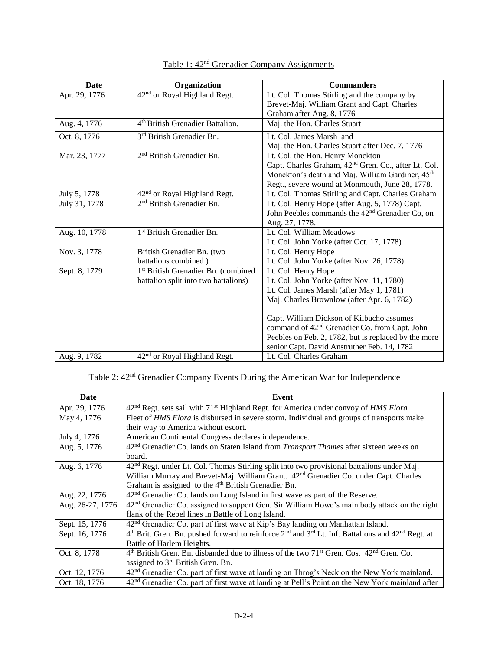| <b>Date</b>   | Organization                                                                            | <b>Commanders</b>                                                                                                                                                                                                                                                                                                                                                           |
|---------------|-----------------------------------------------------------------------------------------|-----------------------------------------------------------------------------------------------------------------------------------------------------------------------------------------------------------------------------------------------------------------------------------------------------------------------------------------------------------------------------|
| Apr. 29, 1776 | 42 <sup>nd</sup> or Royal Highland Regt.                                                | Lt. Col. Thomas Stirling and the company by<br>Brevet-Maj. William Grant and Capt. Charles<br>Graham after Aug. 8, 1776                                                                                                                                                                                                                                                     |
| Aug. 4, 1776  | 4 <sup>th</sup> British Grenadier Battalion.                                            | Maj. the Hon. Charles Stuart                                                                                                                                                                                                                                                                                                                                                |
| Oct. 8, 1776  | 3 <sup>rd</sup> British Grenadier Bn.                                                   | Lt. Col. James Marsh and<br>Maj. the Hon. Charles Stuart after Dec. 7, 1776                                                                                                                                                                                                                                                                                                 |
| Mar. 23, 1777 | 2 <sup>nd</sup> British Grenadier Bn.                                                   | Lt. Col. the Hon. Henry Monckton<br>Capt. Charles Graham, 42 <sup>nd</sup> Gren. Co., after Lt. Col.<br>Monckton's death and Maj. William Gardiner, 45 <sup>th</sup><br>Regt., severe wound at Monmouth, June 28, 1778.                                                                                                                                                     |
| July 5, 1778  | 42 <sup>nd</sup> or Royal Highland Regt.                                                | Lt. Col. Thomas Stirling and Capt. Charles Graham                                                                                                                                                                                                                                                                                                                           |
| July 31, 1778 | 2 <sup>nd</sup> British Grenadier Bn.                                                   | Lt. Col. Henry Hope (after Aug. 5, 1778) Capt.<br>John Peebles commands the 42 <sup>nd</sup> Grenadier Co, on<br>Aug. 27, 1778.                                                                                                                                                                                                                                             |
| Aug. 10, 1778 | 1 <sup>st</sup> British Grenadier Bn.                                                   | Lt. Col. William Meadows<br>Lt. Col. John Yorke (after Oct. 17, 1778)                                                                                                                                                                                                                                                                                                       |
| Nov. 3, 1778  | British Grenadier Bn. (two<br>battalions combined)                                      | Lt. Col. Henry Hope<br>Lt. Col. John Yorke (after Nov. 26, 1778)                                                                                                                                                                                                                                                                                                            |
| Sept. 8, 1779 | 1 <sup>st</sup> British Grenadier Bn. (combined<br>battalion split into two battalions) | Lt. Col. Henry Hope<br>Lt. Col. John Yorke (after Nov. 11, 1780)<br>Lt. Col. James Marsh (after May 1, 1781)<br>Maj. Charles Brownlow (after Apr. 6, 1782)<br>Capt. William Dickson of Kilbucho assumes<br>command of 42 <sup>nd</sup> Grenadier Co. from Capt. John<br>Peebles on Feb. 2, 1782, but is replaced by the more<br>senior Capt. David Anstruther Feb. 14, 1782 |
| Aug. 9, 1782  | 42 <sup>nd</sup> or Royal Highland Regt.                                                | Lt. Col. Charles Graham                                                                                                                                                                                                                                                                                                                                                     |

### Table 1: 42<sup>nd</sup> Grenadier Company Assignments

## Table 2: 42nd Grenadier Company Events During the American War for Independence

| <b>Date</b>      | Event                                                                                                                               |  |  |  |  |
|------------------|-------------------------------------------------------------------------------------------------------------------------------------|--|--|--|--|
| Apr. 29, 1776    | 42 <sup>nd</sup> Regt. sets sail with 71 <sup>st</sup> Highland Regt. for America under convoy of HMS Flora                         |  |  |  |  |
| May 4, 1776      | Fleet of HMS Flora is disbursed in severe storm. Individual and groups of transports make                                           |  |  |  |  |
|                  | their way to America without escort.                                                                                                |  |  |  |  |
| July 4, 1776     | American Continental Congress declares independence.                                                                                |  |  |  |  |
| Aug. 5, 1776     | 42 <sup>nd</sup> Grenadier Co. lands on Staten Island from <i>Transport Thames</i> after sixteen weeks on                           |  |  |  |  |
|                  | board.                                                                                                                              |  |  |  |  |
| Aug. 6, 1776     | 42 <sup>nd</sup> Regt. under Lt. Col. Thomas Stirling split into two provisional battalions under Maj.                              |  |  |  |  |
|                  | William Murray and Brevet-Maj. William Grant. 42 <sup>nd</sup> Grenadier Co. under Capt. Charles                                    |  |  |  |  |
|                  | Graham is assigned to the 4 <sup>th</sup> British Grenadier Bn.                                                                     |  |  |  |  |
| Aug. 22, 1776    | 42 <sup>nd</sup> Grenadier Co. lands on Long Island in first wave as part of the Reserve.                                           |  |  |  |  |
| Aug. 26-27, 1776 | 42 <sup>nd</sup> Grenadier Co. assigned to support Gen. Sir William Howe's main body attack on the right                            |  |  |  |  |
|                  | flank of the Rebel lines in Battle of Long Island.                                                                                  |  |  |  |  |
| Sept. 15, 1776   | 42 <sup>nd</sup> Grenadier Co. part of first wave at Kip's Bay landing on Manhattan Island.                                         |  |  |  |  |
| Sept. 16, 1776   | 4 <sup>th</sup> Brit. Gren. Bn. pushed forward to reinforce $2^{nd}$ and $3^{rd}$ Lt. Inf. Battalions and 42 <sup>nd</sup> Regt. at |  |  |  |  |
|                  | Battle of Harlem Heights.                                                                                                           |  |  |  |  |
| Oct. 8, 1778     | $4th$ British Gren. Bn. disbanded due to illness of the two 71 <sup>st</sup> Gren. Cos. $42nd$ Gren. Co.                            |  |  |  |  |
|                  | assigned to 3 <sup>rd</sup> British Gren. Bn.                                                                                       |  |  |  |  |
| Oct. 12, 1776    | 42 <sup>nd</sup> Grenadier Co. part of first wave at landing on Throg's Neck on the New York mainland.                              |  |  |  |  |
| Oct. 18, 1776    | 42 <sup>nd</sup> Grenadier Co. part of first wave at landing at Pell's Point on the New York mainland after                         |  |  |  |  |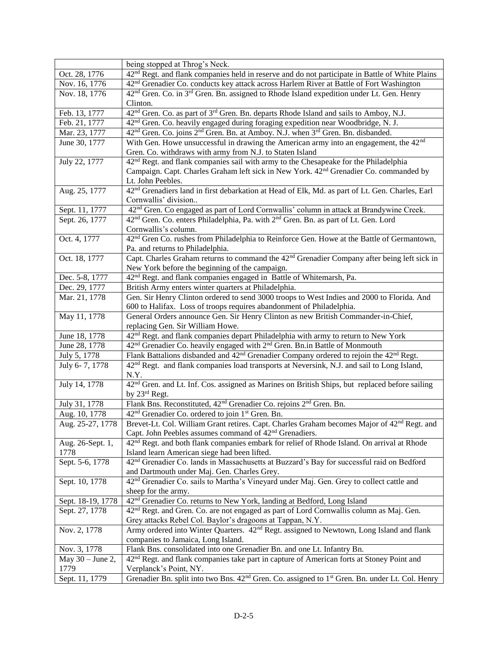|                         | being stopped at Throg's Neck.                                                                                                                        |  |  |
|-------------------------|-------------------------------------------------------------------------------------------------------------------------------------------------------|--|--|
| Oct. 28, 1776           | 42 <sup>nd</sup> Regt. and flank companies held in reserve and do not participate in Battle of White Plains                                           |  |  |
| Nov. 16, 1776           | 42 <sup>nd</sup> Grenadier Co. conducts key attack across Harlem River at Battle of Fort Washington                                                   |  |  |
| Nov. 18, 1776           | 42 <sup>nd</sup> Gren. Co. in 3 <sup>rd</sup> Gren. Bn. assigned to Rhode Island expedition under Lt. Gen. Henry                                      |  |  |
|                         | Clinton.                                                                                                                                              |  |  |
| Feb. 13, 1777           | 42 <sup>nd</sup> Gren. Co. as part of 3 <sup>rd</sup> Gren. Bn. departs Rhode Island and sails to Amboy, N.J.                                         |  |  |
| Feb. 21, 1777           | 42 <sup>nd</sup> Gren. Co. heavily engaged during foraging expedition near Woodbridge, N. J.                                                          |  |  |
| Mar. 23, 1777           | 42 <sup>nd</sup> Gren. Co. joins 2 <sup>nd</sup> Gren. Bn. at Amboy. N.J. when 3 <sup>rd</sup> Gren. Bn. disbanded.                                   |  |  |
| June 30, 1777           | With Gen. Howe unsuccessful in drawing the American army into an engagement, the 42 <sup>nd</sup>                                                     |  |  |
|                         | Gren. Co. withdraws with army from N.J. to Staten Island                                                                                              |  |  |
| July 22, 1777           | 42 <sup>nd</sup> Regt. and flank companies sail with army to the Chesapeake for the Philadelphia                                                      |  |  |
|                         | Campaign. Capt. Charles Graham left sick in New York. 42 <sup>nd</sup> Grenadier Co. commanded by                                                     |  |  |
|                         | Lt. John Peebles.                                                                                                                                     |  |  |
| Aug. 25, 1777           | 42 <sup>nd</sup> Grenadiers land in first debarkation at Head of Elk, Md. as part of Lt. Gen. Charles, Earl                                           |  |  |
|                         | Cornwallis' division                                                                                                                                  |  |  |
| Sept. 11, 1777          | 42 <sup>nd</sup> Gren. Co engaged as part of Lord Cornwallis' column in attack at Brandywine Creek.                                                   |  |  |
| Sept. 26, 1777          | 42 <sup>nd</sup> Gren. Co. enters Philadelphia, Pa. with 2 <sup>nd</sup> Gren. Bn. as part of Lt. Gen. Lord                                           |  |  |
| Oct. 4, 1777            | Cornwallis's column.<br>42 <sup>nd</sup> Gren Co. rushes from Philadelphia to Reinforce Gen. Howe at the Battle of Germantown,                        |  |  |
|                         | Pa. and returns to Philadelphia.                                                                                                                      |  |  |
| Oct. 18, 1777           | Capt. Charles Graham returns to command the $42nd$ Grenadier Company after being left sick in                                                         |  |  |
|                         | New York before the beginning of the campaign.                                                                                                        |  |  |
| Dec. 5-8, 1777          | 42 <sup>nd</sup> Regt. and flank companies engaged in Battle of Whitemarsh, Pa.                                                                       |  |  |
| Dec. 29, 1777           | British Army enters winter quarters at Philadelphia.                                                                                                  |  |  |
| Mar. 21, 1778           | Gen. Sir Henry Clinton ordered to send 3000 troops to West Indies and 2000 to Florida. And                                                            |  |  |
|                         | 600 to Halifax. Loss of troops requires abandonment of Philadelphia.                                                                                  |  |  |
| May 11, 1778            | General Orders announce Gen. Sir Henry Clinton as new British Commander-in-Chief,                                                                     |  |  |
|                         | replacing Gen. Sir William Howe.                                                                                                                      |  |  |
| June 18, 1778           | 42 <sup>nd</sup> Regt. and flank companies depart Philadelphia with army to return to New York                                                        |  |  |
| June 28, 1778           | 42 <sup>nd</sup> Grenadier Co. heavily engaged with 2 <sup>nd</sup> Gren. Bn.in Battle of Monmouth                                                    |  |  |
| July 5, 1778            | Flank Battalions disbanded and 42 <sup>nd</sup> Grenadier Company ordered to rejoin the 42 <sup>nd</sup> Regt.                                        |  |  |
| July 6-7, 1778          | 42 <sup>nd</sup> Regt. and flank companies load transports at Neversink, N.J. and sail to Long Island,                                                |  |  |
|                         | N.Y.                                                                                                                                                  |  |  |
| July 14, 1778           | 42 <sup>nd</sup> Gren. and Lt. Inf. Cos. assigned as Marines on British Ships, but replaced before sailing                                            |  |  |
|                         | by 23rd Regt.                                                                                                                                         |  |  |
| July 31, 1778           | Flank Bns. Reconstituted, 42 <sup>nd</sup> Grenadier Co. rejoins 2 <sup>nd</sup> Gren. Bn.                                                            |  |  |
| Aug. 10, 1778           | 42 <sup>nd</sup> Grenadier Co. ordered to join 1 <sup>st</sup> Gren. Bn.                                                                              |  |  |
| Aug. 25-27, 1778        | Brevet-Lt. Col. William Grant retires. Capt. Charles Graham becomes Major of 42 <sup>nd</sup> Regt. and                                               |  |  |
|                         | Capt. John Peebles assumes command of 42 <sup>nd</sup> Grenadiers.                                                                                    |  |  |
| Aug. 26-Sept. 1,        | 42 <sup>nd</sup> Regt. and both flank companies embark for relief of Rhode Island. On arrival at Rhode                                                |  |  |
| 1778<br>Sept. 5-6, 1778 | Island learn American siege had been lifted.<br>42 <sup>nd</sup> Grenadier Co. lands in Massachusetts at Buzzard's Bay for successful raid on Bedford |  |  |
|                         | and Dartmouth under Maj. Gen. Charles Grey.                                                                                                           |  |  |
| Sept. 10, 1778          | 42 <sup>nd</sup> Grenadier Co. sails to Martha's Vineyard under Maj. Gen. Grey to collect cattle and                                                  |  |  |
|                         | sheep for the army.                                                                                                                                   |  |  |
| Sept. 18-19, 1778       | 42 <sup>nd</sup> Grenadier Co. returns to New York, landing at Bedford, Long Island                                                                   |  |  |
| Sept. 27, 1778          | 42 <sup>nd</sup> Regt. and Gren. Co. are not engaged as part of Lord Cornwallis column as Maj. Gen.                                                   |  |  |
|                         | Grey attacks Rebel Col. Baylor's dragoons at Tappan, N.Y.                                                                                             |  |  |
| Nov. 2, 1778            | Army ordered into Winter Quarters. 42 <sup>nd</sup> Regt. assigned to Newtown, Long Island and flank                                                  |  |  |
|                         | companies to Jamaica, Long Island.                                                                                                                    |  |  |
| Nov. 3, 1778            | Flank Bns. consolidated into one Grenadier Bn. and one Lt. Infantry Bn.                                                                               |  |  |
| May $30 -$ June 2,      | 42 <sup>nd</sup> Regt. and flank companies take part in capture of American forts at Stoney Point and                                                 |  |  |
| 1779                    | Verplanck's Point, NY.                                                                                                                                |  |  |
| Sept. 11, 1779          | Grenadier Bn. split into two Bns. 42 <sup>nd</sup> Gren. Co. assigned to 1 <sup>st</sup> Gren. Bn. under Lt. Col. Henry                               |  |  |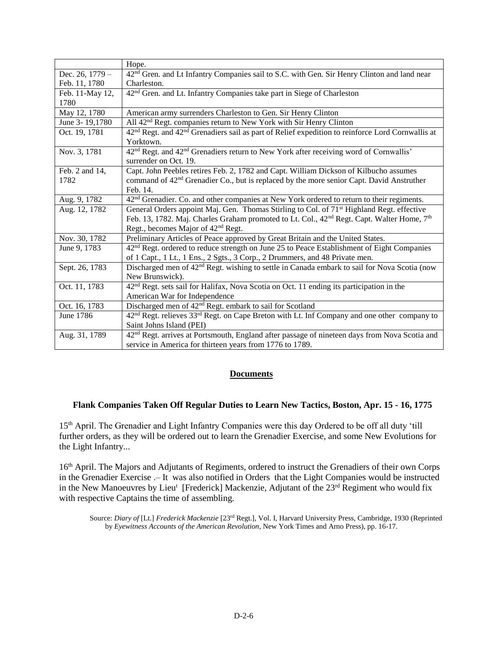|                  | Hope.                                                                                                                    |  |  |  |
|------------------|--------------------------------------------------------------------------------------------------------------------------|--|--|--|
| Dec. 26, $1779-$ | 42 <sup>nd</sup> Gren. and Lt Infantry Companies sail to S.C. with Gen. Sir Henry Clinton and land near                  |  |  |  |
| Feb. 11, 1780    | Charleston.                                                                                                              |  |  |  |
| Feb. 11-May 12,  | 42 <sup>nd</sup> Gren. and Lt. Infantry Companies take part in Siege of Charleston                                       |  |  |  |
| 1780             |                                                                                                                          |  |  |  |
| May 12, 1780     | American army surrenders Charleston to Gen. Sir Henry Clinton                                                            |  |  |  |
| June 3-19,1780   | All 42 <sup>nd</sup> Regt. companies return to New York with Sir Henry Clinton                                           |  |  |  |
| Oct. 19, 1781    | 42 <sup>nd</sup> Regt. and 42 <sup>nd</sup> Grenadiers sail as part of Relief expedition to reinforce Lord Cornwallis at |  |  |  |
|                  | Yorktown.                                                                                                                |  |  |  |
| Nov. 3, 1781     | 42 <sup>nd</sup> Regt. and 42 <sup>nd</sup> Grenadiers return to New York after receiving word of Cornwallis'            |  |  |  |
|                  | surrender on Oct. 19.                                                                                                    |  |  |  |
| Feb. 2 and 14,   | Capt. John Peebles retires Feb. 2, 1782 and Capt. William Dickson of Kilbucho assumes                                    |  |  |  |
| 1782             | command of 42 <sup>nd</sup> Grenadier Co., but is replaced by the more senior Capt. David Anstruther                     |  |  |  |
|                  | Feb. 14.                                                                                                                 |  |  |  |
| Aug. 9, 1782     | 42 <sup>nd</sup> Grenadier. Co. and other companies at New York ordered to return to their regiments.                    |  |  |  |
| Aug. 12, 1782    | General Orders appoint Maj. Gen. Thomas Stirling to Col. of 71 <sup>st</sup> Highland Regt. effective                    |  |  |  |
|                  | Feb. 13, 1782. Maj. Charles Graham promoted to Lt. Col., 42 <sup>nd</sup> Regt. Capt. Walter Home, 7 <sup>th</sup>       |  |  |  |
|                  | Regt., becomes Major of 42 <sup>nd</sup> Regt.                                                                           |  |  |  |
| Nov. 30, 1782    | Preliminary Articles of Peace approved by Great Britain and the United States.                                           |  |  |  |
| June 9, 1783     | 42 <sup>nd</sup> Regt. ordered to reduce strength on June 25 to Peace Establishment of Eight Companies                   |  |  |  |
|                  | of 1 Capt., 1 Lt., 1 Ens., 2 Sgts., 3 Corp., 2 Drummers, and 48 Private men.                                             |  |  |  |
| Sept. 26, 1783   | Discharged men of 42 <sup>nd</sup> Regt. wishing to settle in Canada embark to sail for Nova Scotia (now                 |  |  |  |
|                  | New Brunswick).                                                                                                          |  |  |  |
| Oct. 11, 1783    | 42 <sup>nd</sup> Regt. sets sail for Halifax, Nova Scotia on Oct. 11 ending its participation in the                     |  |  |  |
|                  | American War for Independence                                                                                            |  |  |  |
| Oct. 16, 1783    | Discharged men of 42 <sup>nd</sup> Regt. embark to sail for Scotland                                                     |  |  |  |
| June 1786        | $42nd$ Regt. relieves $33rd$ Regt. on Cape Breton with Lt. Inf Company and one other company to                          |  |  |  |
|                  | Saint Johns Island (PEI)                                                                                                 |  |  |  |
| Aug. 31, 1789    | 42 <sup>nd</sup> Regt. arrives at Portsmouth, England after passage of nineteen days from Nova Scotia and                |  |  |  |
|                  | service in America for thirteen years from 1776 to 1789.                                                                 |  |  |  |

#### **Documents**

#### **Flank Companies Taken Off Regular Duties to Learn New Tactics, Boston, Apr. 15 - 16, 1775**

15<sup>th</sup> April. The Grenadier and Light Infantry Companies were this day Ordered to be off all duty 'till further orders, as they will be ordered out to learn the Grenadier Exercise, and some New Evolutions for the Light Infantry...

16<sup>th</sup> April. The Majors and Adjutants of Regiments, ordered to instruct the Grenadiers of their own Corps in the Grenadier Exercise .– It was also notified in Orders that the Light Companies would be instructed in the New Manoeuvres by Lieu<sup>t</sup> [Frederick] Mackenzie, Adjutant of the 23<sup>rd</sup> Regiment who would fix with respective Captains the time of assembling.

Source: *Diary of* [Lt.] *Frederick Mackenzie* [23rd Regt.], Vol. I, Harvard University Press, Cambridge, 1930 (Reprinted by *Eyewitness Accounts of the American Revolution*, New York Times and Arno Press), pp. 16-17.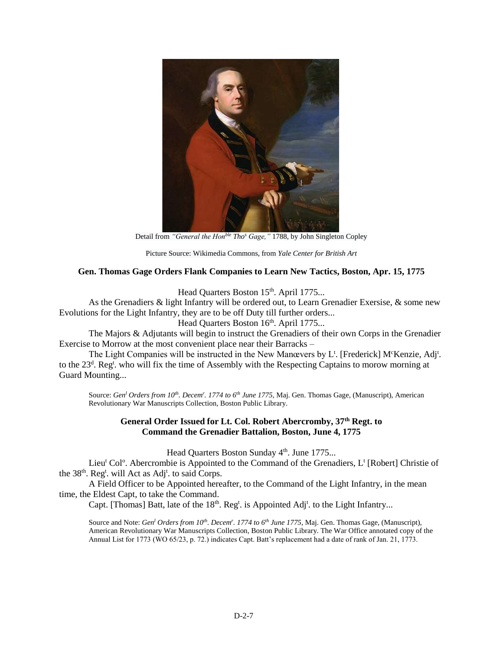

Detail from *"General the Honble Tho<sup>s</sup> Gage,"* 1788, by John Singleton Copley

Picture Source: Wikimedia Commons, from *Yale Center for British Art*

#### **Gen. Thomas Gage Orders Flank Companies to Learn New Tactics, Boston, Apr. 15, 1775**

Head Quarters Boston 15<sup>th</sup>. April 1775...

As the Grenadiers & light Infantry will be ordered out, to Learn Grenadier Exersise, & some new Evolutions for the Light Infantry, they are to be off Duty till further orders...

Head Quarters Boston 16<sup>th</sup>. April 1775...

The Majors & Adjutants will begin to instruct the Grenadiers of their own Corps in the Grenadier Exercise to Morrow at the most convenient place near their Barracks –

The Light Companies will be instructed in the New Manœvers by L<sup>t</sup>. [Frederick] M<sup>c</sup>Kenzie, Adj<sup>t</sup>. to the 23<sup>d</sup>. Reg<sup>t</sup>. who will fix the time of Assembly with the Respecting Captains to morow morning at Guard Mounting...

Source: *Gen<sup>l</sup> Orders from 10th. Decem<sup>r</sup> . 1774 to 6th June 1775*, Maj. Gen. Thomas Gage, (Manuscript), American Revolutionary War Manuscripts Collection, Boston Public Library.

#### **General Order Issued for Lt. Col. Robert Abercromby, 37th Regt. to Command the Grenadier Battalion, Boston, June 4, 1775**

Head Quarters Boston Sunday 4<sup>th</sup>. June 1775...

Lieu<sup>t</sup> Col<sup>o</sup>. Abercrombie is Appointed to the Command of the Grenadiers, L<sup>t</sup> [Robert] Christie of the 38<sup>th</sup>. Reg<sup>t</sup>. will Act as Adj<sup>t</sup>. to said Corps.

A Field Officer to be Appointed hereafter, to the Command of the Light Infantry, in the mean time, the Eldest Capt, to take the Command.

Capt. [Thomas] Batt, late of the  $18<sup>th</sup>$ . Reg<sup>t</sup>. is Appointed Adj<sup>t</sup>. to the Light Infantry...

Source and Note: *Gen<sup>l</sup> Orders from 10th. Decem<sup>r</sup> . 1774 to 6th June 1775*, Maj. Gen. Thomas Gage, (Manuscript), American Revolutionary War Manuscripts Collection, Boston Public Library. The War Office annotated copy of the Annual List for 1773 (WO 65/23, p. 72.) indicates Capt. Batt's replacement had a date of rank of Jan. 21, 1773.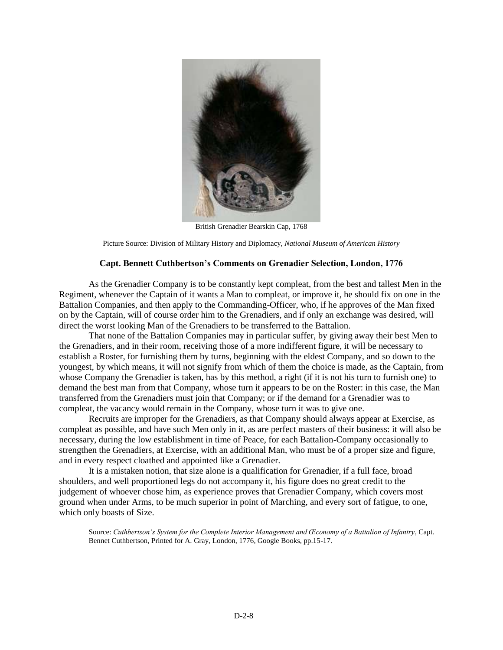

British Grenadier Bearskin Cap, 1768

Picture Source: Division of Military History and Diplomacy, *National Museum of American History*

#### **Capt. Bennett Cuthbertson's Comments on Grenadier Selection, London, 1776**

As the Grenadier Company is to be constantly kept compleat, from the best and tallest Men in the Regiment, whenever the Captain of it wants a Man to compleat, or improve it, he should fix on one in the Battalion Companies, and then apply to the Commanding-Officer, who, if he approves of the Man fixed on by the Captain, will of course order him to the Grenadiers, and if only an exchange was desired, will direct the worst looking Man of the Grenadiers to be transferred to the Battalion.

That none of the Battalion Companies may in particular suffer, by giving away their best Men to the Grenadiers, and in their room, receiving those of a more indifferent figure, it will be necessary to establish a Roster, for furnishing them by turns, beginning with the eldest Company, and so down to the youngest, by which means, it will not signify from which of them the choice is made, as the Captain, from whose Company the Grenadier is taken, has by this method, a right (if it is not his turn to furnish one) to demand the best man from that Company, whose turn it appears to be on the Roster: in this case, the Man transferred from the Grenadiers must join that Company; or if the demand for a Grenadier was to compleat, the vacancy would remain in the Company, whose turn it was to give one.

Recruits are improper for the Grenadiers, as that Company should always appear at Exercise, as compleat as possible, and have such Men only in it, as are perfect masters of their business: it will also be necessary, during the low establishment in time of Peace, for each Battalion-Company occasionally to strengthen the Grenadiers, at Exercise, with an additional Man, who must be of a proper size and figure, and in every respect cloathed and appointed like a Grenadier.

It is a mistaken notion, that size alone is a qualification for Grenadier, if a full face, broad shoulders, and well proportioned legs do not accompany it, his figure does no great credit to the judgement of whoever chose him, as experience proves that Grenadier Company, which covers most ground when under Arms, to be much superior in point of Marching, and every sort of fatigue, to one, which only boasts of Size.

Source: *Cuthbertson's System for the Complete Interior Management and Œconomy of a Battalion of Infantry*, Capt. Bennet Cuthbertson, Printed for A. Gray, London, 1776, Google Books, pp.15-17.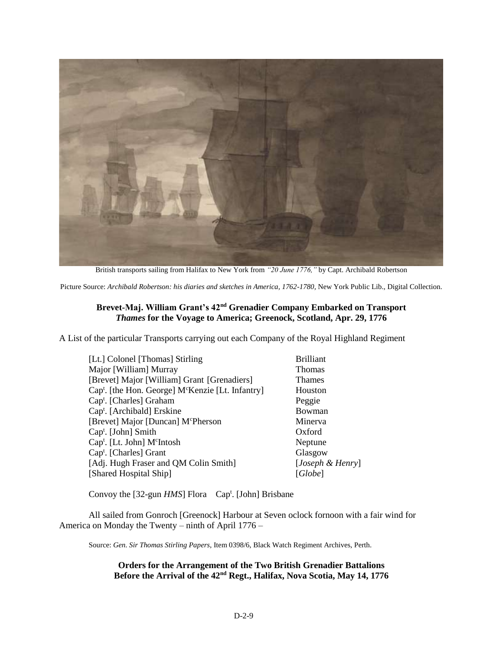

British transports sailing from Halifax to New York from *"20 June 1776,"* by Capt. Archibald Robertson

Picture Source: *Archibald Robertson: his diaries and sketches in America, 1762-1780,* New York Public Lib., Digital Collection.

#### **Brevet-Maj. William Grant's 42nd Grenadier Company Embarked on Transport**  *Thames* **for the Voyage to America; Greenock, Scotland, Apr. 29, 1776**

A List of the particular Transports carrying out each Company of the Royal Highland Regiment

| [Lt.] Colonel [Thomas] Stirling                                           | <b>Brilliant</b> |
|---------------------------------------------------------------------------|------------------|
| Major [William] Murray                                                    | <b>Thomas</b>    |
| [Brevet] Major [William] Grant [Grenadiers]                               | <b>Thames</b>    |
| Cap <sup>t</sup> . [the Hon. George] M <sup>c</sup> Kenzie [Lt. Infantry] | Houston          |
| Cap <sup>t</sup> . [Charles] Graham                                       | Peggie           |
| Cap <sup>t</sup> . [Archibald] Erskine                                    | Bowman           |
| [Brevet] Major [Duncan] M <sup>c</sup> Pherson                            | Minerva          |
| Cap <sup>t</sup> . [John] Smith                                           | Oxford           |
| Cap <sup>t</sup> . [Lt. John] M <sup>c</sup> Intosh                       | Neptune          |
| Cap <sup>t</sup> . [Charles] Grant                                        | Glasgow          |
| [Adj. Hugh Fraser and QM Colin Smith]                                     | [Joseph & Henry] |
| [Shared Hospital Ship]                                                    | [Globe]          |
|                                                                           |                  |

Convoy the [32-gun *HMS*] Flora Cap<sup>t</sup>. [John] Brisbane

All sailed from Gonroch [Greenock] Harbour at Seven oclock fornoon with a fair wind for America on Monday the Twenty – ninth of April 1776 –

Source: *Gen. Sir Thomas Stirling Papers*, Item 0398/6, Black Watch Regiment Archives, Perth.

**Orders for the Arrangement of the Two British Grenadier Battalions Before the Arrival of the 42nd Regt., Halifax, Nova Scotia, May 14, 1776**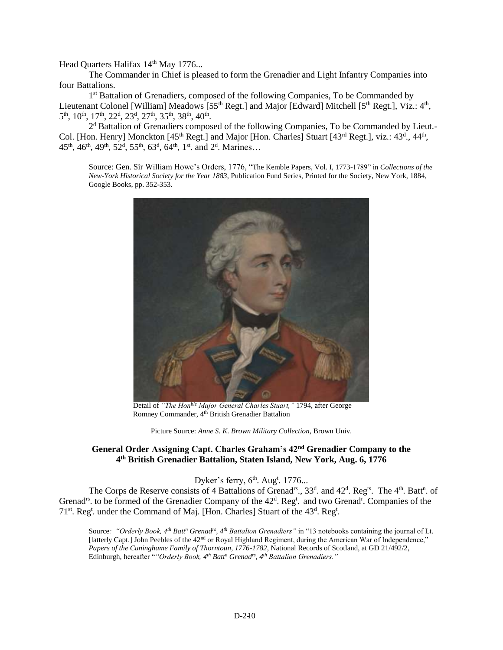Head Quarters Halifax 14<sup>th</sup> May 1776...

The Commander in Chief is pleased to form the Grenadier and Light Infantry Companies into four Battalions.

1<sup>st</sup> Battalion of Grenadiers, composed of the following Companies, To be Commanded by Lieutenant Colonel [William] Meadows [55<sup>th</sup> Regt.] and Major [Edward] Mitchell [5<sup>th</sup> Regt.], Viz.: 4<sup>th</sup>, 5<sup>th</sup>, 10<sup>th</sup>, 17<sup>th</sup>, 22<sup>d</sup>, 23<sup>d</sup>, 27<sup>th</sup>, 35<sup>th</sup>, 38<sup>th</sup>, 40<sup>th</sup>.

2<sup>d</sup> Battalion of Grenadiers composed of the following Companies, To be Commanded by Lieut.-Col. [Hon. Henry] Monckton  $[45<sup>th</sup>$  Regt.] and Major [Hon. Charles] Stuart  $[43<sup>rd</sup>$  Regt.], viz.:  $43<sup>d</sup>$ ,  $44<sup>th</sup>$ , 45<sup>th</sup>, 46<sup>th</sup>, 49<sup>th</sup>, 52<sup>d</sup>, 55<sup>th</sup>, 63<sup>d</sup>, 64<sup>th</sup>, 1<sup>st</sup>. and 2<sup>d</sup>. Marines...

Source: Gen. Sir William Howe's Orders, 1776, "The Kemble Papers, Vol. I, 1773-1789" in *Collections of the New-York Historical Society for the Year 1883*, Publication Fund Series, Printed for the Society, New York, 1884, Google Books, pp. 352-353.



Detail of *"The Honble Major General Charles Stuart,"* 1794, after George Romney Commander, 4th British Grenadier Battalion

Picture Source: *Anne S. K. Brown Military Collection*, Brown Univ.

#### **General Order Assigning Capt. Charles Graham's 42nd Grenadier Company to the 4 th British Grenadier Battalion, Staten Island, New York, Aug. 6, 1776**

Dyker's ferry,  $6<sup>th</sup>$ . Aug<sup>t</sup>. 1776...

The Corps de Reserve consists of 4 Battalions of Grenad<sup>rs</sup>., 33<sup>d</sup>. and 42<sup>d</sup>. Reg<sup>ts</sup>. The 4<sup>th</sup>. Batt<sup>n</sup>. of Grenad<sup>rs</sup>. to be formed of the Grenadier Company of the 42<sup>d</sup>. Reg<sup>t</sup>. and two Grenad<sup>r</sup>. Companies of the 71<sup>st</sup>. Reg<sup>t</sup>. under the Command of Maj. [Hon. Charles] Stuart of the 43<sup>d</sup>. Reg<sup>t</sup>.

Source*: "Orderly Book, 4th Batt<sup>n</sup> Grenadrs, 4th Battalion Grenadiers"* in "13 notebooks containing the journal of Lt. [latterly Capt.] John Peebles of the 42nd or Royal Highland Regiment, during the American War of Independence," *Papers of the Cuninghame Family of Thorntoun, 1776-1782*, National Records of Scotland, at GD 21/492/2, Edinburgh, hereafter "*"Orderly Book, 4th Batt<sup>n</sup> Grenadrs, 4th Battalion Grenadiers."*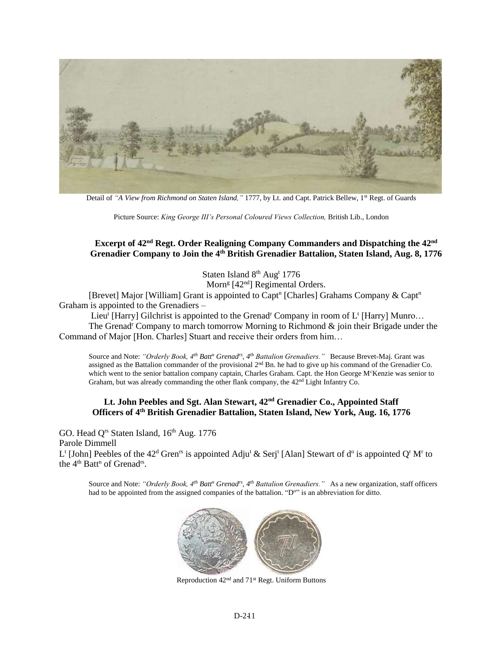

Detail of *"A View from Richmond on Staten Island,"* 1777, by Lt. and Capt. Patrick Bellew, 1st Regt. of Guards

Picture Source: *King George III's Personal Coloured Views Collection,* British Lib., London

#### **Excerpt of 42nd Regt. Order Realigning Company Commanders and Dispatching the 42nd Grenadier Company to Join the 4th British Grenadier Battalion, Staten Island, Aug. 8, 1776**

Staten Island 8<sup>th</sup> Aug<sup>t</sup> 1776

Morn<sup>g</sup> [42<sup>nd</sup>] Regimental Orders.

[Brevet] Major [William] Grant is appointed to Capt<sup>n</sup> [Charles] Grahams Company & Capt<sup>n</sup> Graham is appointed to the Grenadiers –

Lieu<sup>t</sup> [Harry] Gilchrist is appointed to the Grenad<sup>r</sup> Company in room of  $L^t$  [Harry] Munro...

The Grenad<sup>r</sup> Company to march tomorrow Morning to Richmond  $\&$  join their Brigade under the Command of Major [Hon. Charles] Stuart and receive their orders from him…

Source and Note: *"Orderly Book, 4th Batt<sup>n</sup> Grenadrs, 4th Battalion Grenadiers."* Because Brevet-Maj. Grant was assigned as the Battalion commander of the provisional 2<sup>nd</sup> Bn. he had to give up his command of the Grenadier Co. which went to the senior battalion company captain, Charles Graham. Capt. the Hon George M<sup>c</sup>Kenzie was senior to Graham, but was already commanding the other flank company, the 42nd Light Infantry Co.

#### **Lt. John Peebles and Sgt. Alan Stewart, 42nd Grenadier Co., Appointed Staff Officers of 4th British Grenadier Battalion, Staten Island, New York, Aug. 16, 1776**

GO. Head O<sup>rs</sup> Staten Island, 16<sup>th</sup> Aug. 1776 Parole Dimmell L<sup>t</sup> [John] Peebles of the 42<sup>d</sup> Gren<sup>rs</sup> is appointed Adju<sup>t</sup> & Serj<sup>t</sup> [Alan] Stewart of d<sup>o</sup> is appointed Q<sup>r</sup> M<sup>r</sup> to the 4<sup>th</sup> Batt<sup>n</sup> of Grenad<sup>rs</sup>.

Source and Note: *"Orderly Book, 4th Batt<sup>n</sup> Grenadrs, 4th Battalion Grenadiers."* As a new organization, staff officers had to be appointed from the assigned companies of the battalion. "D<sup>o"</sup> is an abbreviation for ditto.



Reproduction 42nd and 71st Regt. Uniform Buttons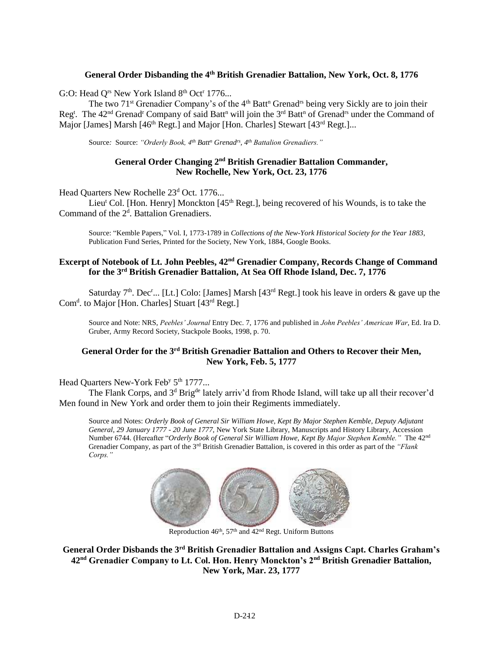#### **General Order Disbanding the 4th British Grenadier Battalion, New York, Oct. 8, 1776**

G:O: Head  $Q^{rs}$  New York Island  $8^{th}$  Oct<sup>r</sup> 1776...

The two 71<sup>st</sup> Grenadier Company's of the 4<sup>th</sup> Batt<sup>n</sup> Grenad<sup>rs</sup> being very Sickly are to join their Reg<sup>t</sup>. The 42<sup>nd</sup> Grenad<sup>r</sup> Company of said Batt<sup>n</sup> will join the 3<sup>rd</sup> Batt<sup>n</sup> of Grenad<sup>rs</sup> under the Command of Major [James] Marsh [46<sup>th</sup> Regt.] and Major [Hon. Charles] Stewart [43<sup>rd</sup> Regt.]...

Source*:* Source: *"Orderly Book, 4th Batt<sup>n</sup> Grenadrs, 4th Battalion Grenadiers."*

#### General Order Changing 2<sup>nd</sup> British Grenadier Battalion Commander, **New Rochelle, New York, Oct. 23, 1776**

Head Quarters New Rochelle 23<sup>d</sup> Oct. 1776...

Lieu<sup>t</sup> Col. [Hon. Henry] Monckton  $[45<sup>th</sup>$  Regt.], being recovered of his Wounds, is to take the Command of the 2<sup>d</sup>. Battalion Grenadiers.

Source: "Kemble Papers," Vol. I, 1773-1789 in *Collections of the New-York Historical Society for the Year 1883*, Publication Fund Series, Printed for the Society, New York, 1884, Google Books.

#### **Excerpt of Notebook of Lt. John Peebles, 42nd Grenadier Company, Records Change of Command for the 3rd British Grenadier Battalion, At Sea Off Rhode Island, Dec. 7, 1776**

Saturday  $7<sup>th</sup>$ . Dec<sup>r</sup>... [Lt.] Colo: [James] Marsh [43<sup>rd</sup> Regt.] took his leave in orders & gave up the Com<sup>d</sup>. to Major [Hon. Charles] Stuart [43<sup>rd</sup> Regt.]

Source and Note: NRS, *Peebles' Journal* Entry Dec. 7, 1776 and published in *John Peebles' American War*, Ed. Ira D. Gruber, Army Record Society, Stackpole Books, 1998, p. 70.

#### **General Order for the 3rd British Grenadier Battalion and Others to Recover their Men, New York, Feb. 5, 1777**

#### Head Quarters New-York Feb<sup>y</sup> 5<sup>th</sup> 1777...

The Flank Corps, and 3<sup>d</sup> Brig<sup>de</sup> lately arriv'd from Rhode Island, will take up all their recover'd Men found in New York and order them to join their Regiments immediately.

Source and Notes: *Orderly Book of General Sir William Howe, Kept By Major Stephen Kemble, Deputy Adjutant General, 29 January 1777 - 20 June 1777,* New York State Library, Manuscripts and History Library, Accession Number 6744. (Hereafter "*Orderly Book of General Sir William Howe, Kept By Major Stephen Kemble."* The 42nd Grenadier Company, as part of the 3rd British Grenadier Battalion, is covered in this order as part of the *"Flank Corps."* 



Reproduction  $46<sup>th</sup>$ ,  $57<sup>th</sup>$  and  $42<sup>nd</sup>$  Regt. Uniform Buttons

**General Order Disbands the 3rd British Grenadier Battalion and Assigns Capt. Charles Graham's 42nd Grenadier Company to Lt. Col. Hon. Henry Monckton's 2nd British Grenadier Battalion, New York, Mar. 23, 1777**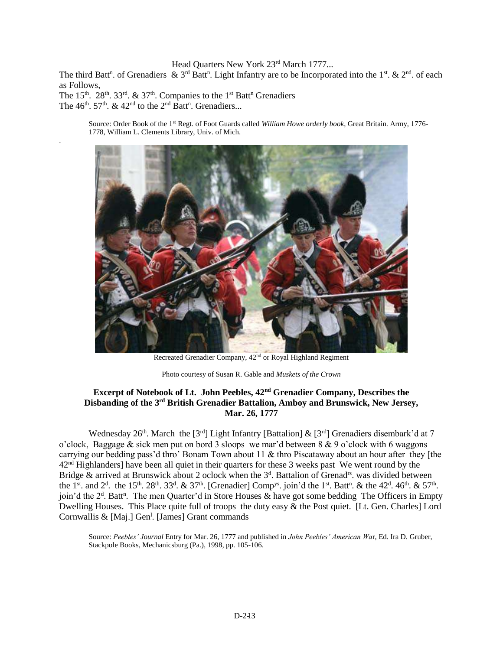#### Head Quarters New York 23<sup>rd</sup> March 1777...

The third Batt<sup>n</sup>. of Grenadiers & 3<sup>rd</sup> Batt<sup>n</sup>. Light Infantry are to be Incorporated into the 1<sup>st</sup>. & 2<sup>nd</sup>. of each as Follows,

The 15<sup>th</sup>. 28<sup>th</sup>. 33<sup>rd</sup>. & 37<sup>th</sup>. Companies to the 1<sup>st</sup> Batt<sup>n</sup> Grenadiers The  $46<sup>th</sup>$ .  $57<sup>th</sup>$ .  $\&$   $42<sup>nd</sup>$  to the  $2<sup>nd</sup>$  Batt<sup>n</sup>. Grenadiers...

.

Source: Order Book of the 1st Regt. of Foot Guards called *William Howe orderly book*, Great Britain. Army, 1776- 1778, William L. Clements Library, Univ. of Mich.



Recreated Grenadier Company, 42nd or Royal Highland Regiment

Photo courtesy of Susan R. Gable and *Muskets of the Crown*

#### **Excerpt of Notebook of Lt. John Peebles, 42nd Grenadier Company, Describes the Disbanding of the 3rd British Grenadier Battalion, Amboy and Brunswick, New Jersey, Mar. 26, 1777**

Wednesday 26<sup>th</sup>. March the [3<sup>rd</sup>] Light Infantry [Battalion] & [3<sup>rd</sup>] Grenadiers disembark'd at 7 o'clock, Baggage & sick men put on bord 3 sloops we mar'd between  $8 \& 9$  o'clock with 6 waggons carrying our bedding pass'd thro' Bonam Town about 11 & thro Piscataway about an hour after they [the 42<sup>nd</sup> Highlanders] have been all quiet in their quarters for these 3 weeks past We went round by the Bridge & arrived at Brunswick about 2 oclock when the 3<sup>d</sup>. Battalion of Grenad<sup>rs</sup>. was divided between the 1<sup>st</sup>. and 2<sup>d</sup>. the 15<sup>th</sup>. 28<sup>th</sup>. 33<sup>d</sup>. & 37<sup>th</sup>. [Grenadier] Comp<sup>ys</sup>. join'd the 1<sup>st</sup>. Batt<sup>n</sup>. & the 42<sup>d</sup>. 46<sup>th</sup>. & 57<sup>th</sup>. join'd the  $2<sup>d</sup>$ . Batt<sup>n</sup>. The men Quarter'd in Store Houses & have got some bedding The Officers in Empty Dwelling Houses. This Place quite full of troops the duty easy & the Post quiet. [Lt. Gen. Charles] Lord Cornwallis & [Maj.] Gen<sup>1</sup>. [James] Grant commands

Source: *Peebles' Journal* Entry for Mar. 26, 1777 and published in *John Peebles' American Wa*r, Ed. Ira D. Gruber, Stackpole Books, Mechanicsburg (Pa.), 1998, pp. 105-106.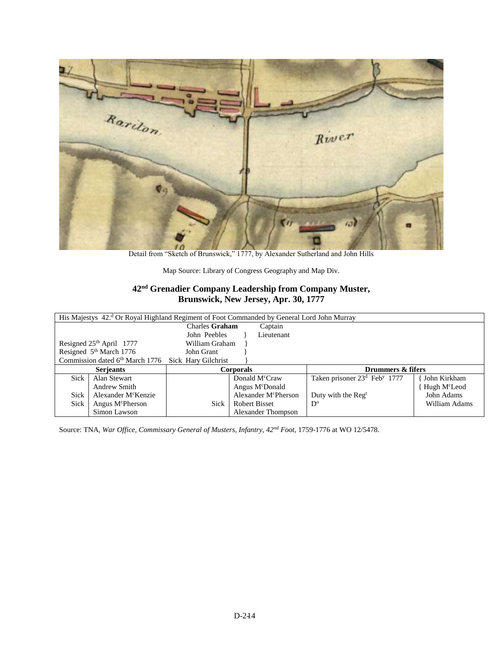

Detail from "Sketch of Brunswick," 1777, by Alexander Sutherland and John Hills

Map Source: Library of Congress Geography and Map Div.

### **42nd Grenadier Company Leadership from Company Muster, Brunswick, New Jersey, Apr. 30, 1777**

| His Majestys 42. <sup>d</sup> Or Royal Highland Regiment of Foot Commanded by General Lord John Murray |                |                                  |                                                      |                          |  |  |
|--------------------------------------------------------------------------------------------------------|----------------|----------------------------------|------------------------------------------------------|--------------------------|--|--|
|                                                                                                        | Charles Graham | Captain                          |                                                      |                          |  |  |
|                                                                                                        | John Peebles   | Lieutenant                       |                                                      |                          |  |  |
| Resigned $25th$ April 1777                                                                             | William Graham |                                  |                                                      |                          |  |  |
| Resigned 5 <sup>th</sup> March 1776                                                                    | John Grant     |                                  |                                                      |                          |  |  |
| Commission dated 6th March 1776 Sick Hary Gilchrist                                                    |                |                                  |                                                      |                          |  |  |
| Drummers & fifers<br><b>Serjeants</b><br><b>Corporals</b>                                              |                |                                  |                                                      |                          |  |  |
|                                                                                                        |                |                                  |                                                      |                          |  |  |
| Sick<br>Alan Stewart                                                                                   |                | Donald M <sup>c</sup> Craw       | Taken prisoner 23 <sup>d</sup> Feb <sup>y</sup> 1777 | John Kirkham             |  |  |
| Andrew Smith                                                                                           |                | Angus M <sup>c</sup> Donald      |                                                      | Hugh M <sup>c</sup> Leod |  |  |
| <b>Sick</b><br>Alexander M <sup>c</sup> Kenzie                                                         |                | Alexander M <sup>c</sup> Pherson | Duty with the Reg <sup>t</sup>                       | John Adams               |  |  |
| Sick<br>Angus M <sup>c</sup> Pherson                                                                   | Sick           | <b>Robert Bisset</b>             | $D^{\circ}$                                          | William Adams            |  |  |

Source: TNA, *War Office, Commissary General of Musters, Infantry, 42nd Foot*, 1759-1776 at WO 12/5478.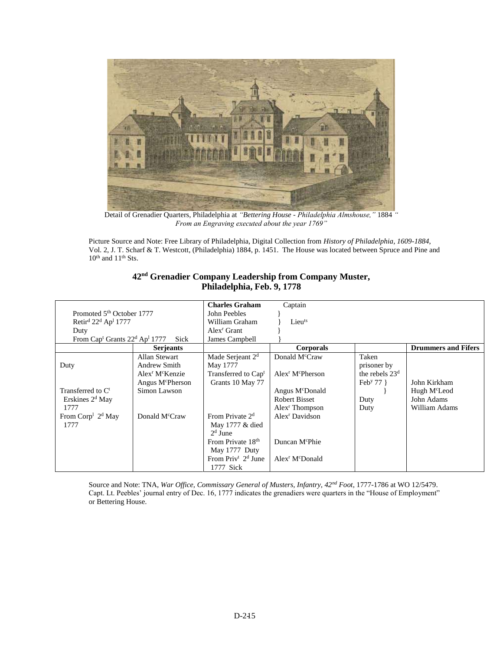

Detail of Grenadier Quarters, Philadelphia at *"Bettering House - Philadelphia Almshouse,"* 1884 *" From an Engraving executed about the year 1769"*

Picture Source and Note: Free Library of Philadelphia, Digital Collection from *History of Philadelphia, 1609-1884*, Vol. 2, J. T. Scharf & T. Westcott, (Philadelphia) 1884, p. 1451. The House was located between Spruce and Pine and  $10<sup>th</sup>$  and  $11<sup>th</sup>$  Sts.

| 42 <sup>nd</sup> Grenadier Company Leadership from Company Muster, |
|--------------------------------------------------------------------|
| Philadelphia, Feb. 9, 1778                                         |

|                                                                   |                                         | <b>Charles Graham</b>           | Captain                                 |                          |                            |
|-------------------------------------------------------------------|-----------------------------------------|---------------------------------|-----------------------------------------|--------------------------|----------------------------|
| Promoted 5 <sup>th</sup> October 1777                             |                                         | John Peebles                    |                                         |                          |                            |
| Retir <sup>d</sup> 22 <sup>d</sup> Ap <sup>1</sup> 1777           |                                         | William Graham                  | Lieuts                                  |                          |                            |
| Duty                                                              |                                         | Alex <sup>r</sup> Grant         |                                         |                          |                            |
| From Cap <sup>t</sup> Grants 22 <sup>d</sup> Ap <sup>1</sup> 1777 | Sick                                    | James Campbell                  |                                         |                          |                            |
|                                                                   | <b>Serjeants</b>                        |                                 | Corporals                               |                          | <b>Drummers and Fifers</b> |
|                                                                   | Allan Stewart                           | Made Serjeant 2 <sup>d</sup>    | Donald M <sup>c</sup> Craw              | Taken                    |                            |
| Duty                                                              | Andrew Smith                            | May 1777                        |                                         | prisoner by              |                            |
|                                                                   | Alex <sup>r</sup> M <sup>c</sup> Kenzie | Transferred to Cap <sup>t</sup> | $Alexr$ M <sup>c</sup> Pherson          | the rebels $23d$         |                            |
|                                                                   | Angus M <sup>c</sup> Pherson            | Grants 10 May 77                |                                         | Feb <sup>y</sup> 77 $\}$ | John Kirkham               |
| Transferred to C <sup>t</sup>                                     | Simon Lawson                            |                                 | Angus M <sup>c</sup> Donald             |                          | Hugh M <sup>c</sup> Leod   |
| Erskines $2d$ May                                                 |                                         |                                 | Robert Bisset                           | Duty                     | John Adams                 |
| 1777                                                              |                                         |                                 | Alex <sup>r</sup> Thompson              | Duty                     | William Adams              |
| From $\mathrm{Corp}^1$ 2 <sup>d</sup> May                         | Donald M <sup>c</sup> Craw              | From Private 2 <sup>d</sup>     | Alex <sup>r</sup> Davidson              |                          |                            |
| 1777                                                              |                                         | May 1777 & died                 |                                         |                          |                            |
|                                                                   |                                         | $2d$ June                       |                                         |                          |                            |
|                                                                   |                                         | From Private 18 <sup>th</sup>   | Duncan M <sup>c</sup> Phie              |                          |                            |
|                                                                   |                                         | May 1777 Duty                   |                                         |                          |                            |
|                                                                   |                                         | From $Priv^t$ $2^d$ June        | Alex <sup>r</sup> M <sup>c</sup> Donald |                          |                            |
|                                                                   |                                         | 1777 Sick                       |                                         |                          |                            |

Source and Note: TNA, *War Office, Commissary General of Musters, Infantry, 42nd Foot*, 1777-1786 at WO 12/5479. Capt. Lt. Peebles' journal entry of Dec. 16, 1777 indicates the grenadiers were quarters in the "House of Employment" or Bettering House.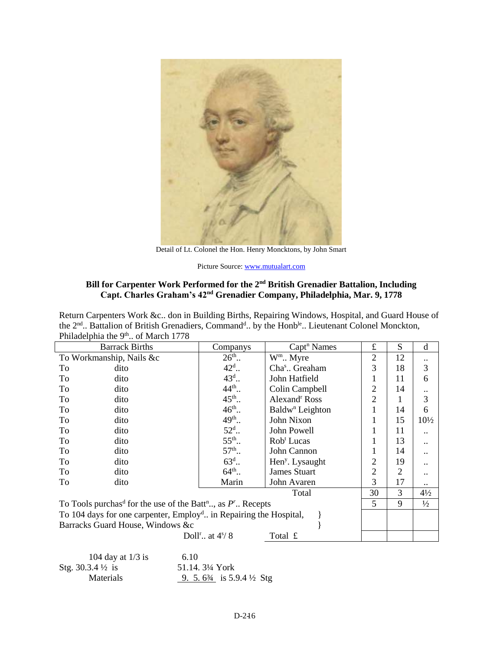

Detail of Lt. Colonel the Hon. Henry Moncktons, by John Smart

Picture Source: [www.mutualart.com](http://www.mutualart.com/)

#### **Bill for Carpenter Work Performed for the 2nd British Grenadier Battalion, Including Capt. Charles Graham's 42nd Grenadier Company, Philadelphia, Mar. 9, 1778**

Return Carpenters Work &c.. don in Building Births, Repairing Windows, Hospital, and Guard House of the 2<sup>nd</sup>.. Battalion of British Grenadiers, Command<sup>d</sup>.. by the Honb<sup>le</sup>.. Lieutenant Colonel Monckton, Philadelphia the 9<sup>th</sup>.. of March 1778

|                                                                                       | <b>Barrack Births</b> | Companys                                      | Capt <sup>n</sup> Names     | $\pounds$      | S              | d               |
|---------------------------------------------------------------------------------------|-----------------------|-----------------------------------------------|-----------------------------|----------------|----------------|-----------------|
| To Workmanship, Nails &c                                                              |                       | $26^{\text{th}}$                              | W <sup>m</sup> Myre         | $\overline{2}$ | 12             |                 |
| To                                                                                    | dito                  | $42^{\rm d}$                                  | Cha <sup>s</sup> Greaham    | 3              | 18             | 3               |
| To                                                                                    | dito                  | $43^{\rm d}$ .                                | John Hatfield               | 1              | 11             | 6               |
| To                                                                                    | dito                  | $44^{\text{th}}$                              | Colin Campbell              | $\overline{2}$ | 14             |                 |
| To                                                                                    | dito                  | $45^{\text{th}}$                              | Alexand <sup>r</sup> Ross   | $\overline{2}$ | 1              | 3               |
| To                                                                                    | dito                  | $46^{\text{th}}$ .                            | Baldw <sup>n</sup> Leighton | 1              | 14             | 6               |
| To                                                                                    | dito                  | $49^{\text{th}}$                              | John Nixon                  | 1              | 15             | $10\frac{1}{2}$ |
| To                                                                                    | dito                  | $52d$ .                                       | John Powell                 | 1              | 11             |                 |
| To                                                                                    | dito                  | $55^{th}$ .                                   | Rob <sup>t</sup> Lucas      | 1              | 13             |                 |
| To                                                                                    | dito                  | $57^{th}$                                     | John Cannon                 | 1              | 14             |                 |
| To                                                                                    | dito                  | $63^{\rm d}$                                  | Hen <sup>y</sup> . Lysaught | $\overline{2}$ | 19             |                 |
| To                                                                                    | dito                  | $64^{\text{th}}$                              | James Stuart                | $\overline{2}$ | $\overline{2}$ |                 |
| To                                                                                    | dito                  | Marin                                         | John Avaren                 | 3              | 17             |                 |
|                                                                                       |                       |                                               | Total                       | 30             | 3              | $4\frac{1}{2}$  |
| To Tools purchas <sup>d</sup> for the use of the Batt <sup>n</sup> , as $P^r$ Recepts |                       |                                               |                             | 5              | 9              | $\frac{1}{2}$   |
| To 104 days for one carpenter, Employ <sup>d</sup> in Repairing the Hospital,         |                       |                                               |                             |                |                |                 |
| Barracks Guard House, Windows &c                                                      |                       |                                               |                             |                |                |                 |
|                                                                                       |                       | Doll <sup>r</sup> at $4\frac{\frac{1}{3}}{8}$ | Total £                     |                |                |                 |

| 104 day at $1/3$ is         | 6.10                                            |
|-----------------------------|-------------------------------------------------|
| Stg. $30.3.4\frac{1}{2}$ is | 51.14. 3¼ York                                  |
| <b>Materials</b>            | 9. 5. $6\frac{3}{4}$ is 5.9.4 $\frac{1}{2}$ Stg |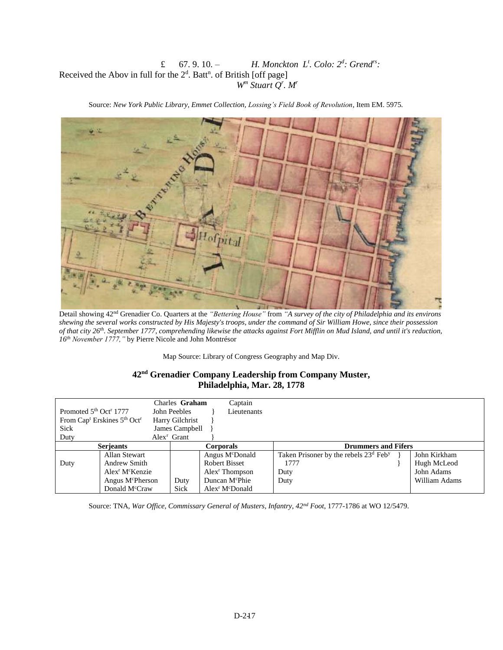#### £ 67.9.10. $-$ *. Colo: 2<sup>d</sup> : Grendrs:* Received the Abov in full for the  $2<sup>d</sup>$ . Batt<sup>n</sup>. of British [off page] *W<sup>m</sup> Stuart Q<sup>r</sup> . M<sup>r</sup>*

Source: *New York Public Library, Emmet Collection, Lossing's Field Book of Revolution*, Item EM. 5975.



Detail showing 42nd Grenadier Co. Quarters at the *"Bettering House"* from *"A survey of the city of Philadelphia and its environs shewing the several works constructed by His Majesty's troops, under the command of Sir William Howe, since their possession of that city 26th. September 1777, comprehending likewise the attacks against Fort Mifflin on Mud Island, and until it's reduction, 16th November 1777,"* by Pierre Nicole and John Montrésor

Map Source: Library of Congress Geography and Map Div.

#### **42nd Grenadier Company Leadership from Company Muster, Philadelphia, Mar. 28, 1778**

|                                                |                                                                 | Charles Graham  | Captain                                 |                                                               |               |
|------------------------------------------------|-----------------------------------------------------------------|-----------------|-----------------------------------------|---------------------------------------------------------------|---------------|
| Promoted 5 <sup>th</sup> Oct <sup>r</sup> 1777 |                                                                 | John Peebles    | Lieutenants                             |                                                               |               |
|                                                | From Cap <sup>t</sup> Erskines 5 <sup>th</sup> Oct <sup>r</sup> | Harry Gilchrist |                                         |                                                               |               |
| <b>Sick</b>                                    |                                                                 | James Campbell  |                                         |                                                               |               |
| Duty                                           |                                                                 | $Alexr$ Grant   |                                         |                                                               |               |
|                                                | <b>Serjeants</b><br>Corporals                                   |                 |                                         | <b>Drummers and Fifers</b>                                    |               |
|                                                | Allan Stewart                                                   |                 | Angus M <sup>c</sup> Donald             | Taken Prisoner by the rebels 23 <sup>d</sup> Feb <sup>y</sup> | John Kirkham  |
| Duty                                           | Andrew Smith                                                    |                 | <b>Robert Bisset</b>                    | 1777                                                          | Hugh McLeod   |
|                                                | Alex <sup>r</sup> M <sup>c</sup> Kenzie                         |                 | $Alexr$ Thompson                        | Duty                                                          | John Adams    |
|                                                | Angus M <sup>c</sup> Pherson                                    | Duty            | Duncan M <sup>c</sup> Phie              | Duty                                                          | William Adams |
|                                                | Donald M <sup>c</sup> Craw                                      | Sick            | Alex <sup>r</sup> M <sup>c</sup> Donald |                                                               |               |

Source: TNA, *War Office, Commissary General of Musters, Infantry, 42nd Foot*, 1777-1786 at WO 12/5479.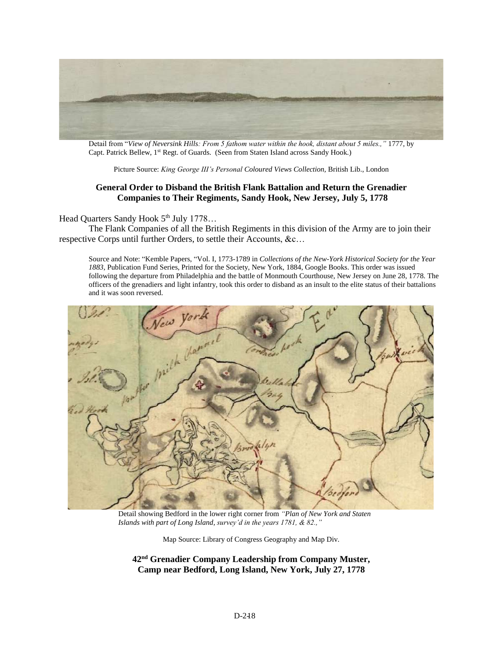

Detail from "*View of Neversink Hills: From 5 fathom water within the hook, distant about 5 miles.,"* 1777, by Capt. Patrick Bellew, 1<sup>st</sup> Regt. of Guards. (Seen from Staten Island across Sandy Hook.)

Picture Source: *King George III's Personal Coloured Views Collection,* British Lib., London

#### **General Order to Disband the British Flank Battalion and Return the Grenadier Companies to Their Regiments, Sandy Hook, New Jersey, July 5, 1778**

#### Head Quarters Sandy Hook 5<sup>th</sup> July 1778...

The Flank Companies of all the British Regiments in this division of the Army are to join their respective Corps until further Orders, to settle their Accounts, &c…

Source and Note: "Kemble Papers, "Vol. I, 1773-1789 in *Collections of the New-York Historical Society for the Year 1883*, Publication Fund Series, Printed for the Society, New York, 1884, Google Books. This order was issued following the departure from Philadelphia and the battle of Monmouth Courthouse, New Jersey on June 28, 1778. The officers of the grenadiers and light infantry, took this order to disband as an insult to the elite status of their battalions and it was soon reversed.



Detail showing Bedford in the lower right corner from *"Plan of New York and Staten Islands with part of Long Island, survey'd in the years 1781, & 82.,"*

Map Source: Library of Congress Geography and Map Div.

**42nd Grenadier Company Leadership from Company Muster, Camp near Bedford, Long Island, New York, July 27, 1778**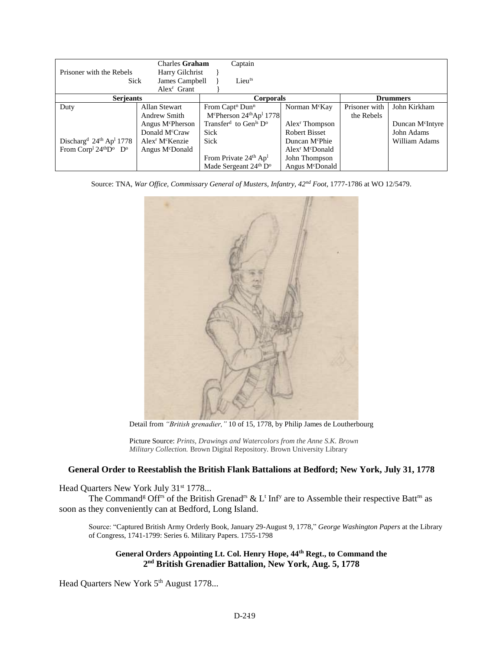|                                                                       | Charles Graham                          |             | Captain                                                |                                         |               |                              |
|-----------------------------------------------------------------------|-----------------------------------------|-------------|--------------------------------------------------------|-----------------------------------------|---------------|------------------------------|
| Prisoner with the Rebels                                              | Harry Gilchrist                         |             |                                                        |                                         |               |                              |
| Sick                                                                  | James Campbell                          |             | Lieu <sup>ts</sup>                                     |                                         |               |                              |
|                                                                       | Alex <sup>r</sup> Grant                 |             |                                                        |                                         |               |                              |
| <b>Serjeants</b>                                                      |                                         |             | <b>Corporals</b>                                       |                                         |               | <b>Drummers</b>              |
| Duty                                                                  | Allan Stewart                           |             | From Capt <sup>n</sup> Dun <sup>n</sup>                | Norman M <sup>c</sup> Kay               | Prisoner with | John Kirkham                 |
|                                                                       | Andrew Smith                            |             | M <sup>c</sup> Pherson $24thAp11778$                   |                                         | the Rebels    |                              |
|                                                                       | Angus M <sup>c</sup> Pherson            |             | Transfer <sup>d</sup> to Gen <sup>ls</sup> $D^{\circ}$ | Alex <sup>r</sup> Thompson              |               | Duncan M <sup>c</sup> Intyre |
|                                                                       | Donald M <sup>c</sup> Craw              | <b>Sick</b> |                                                        | <b>Robert Bisset</b>                    |               | John Adams                   |
| Discharg <sup>d</sup> 24 <sup>th</sup> Ap <sup>1</sup> 1778           | Alex <sup>r</sup> M <sup>c</sup> Kenzie | Sick        |                                                        | Duncan M <sup>c</sup> Phie              |               | William Adams                |
| From Corp <sup>1</sup> 24 <sup>th</sup> D <sup>o</sup> D <sup>o</sup> | Angus M <sup>c</sup> Donald             |             |                                                        | Alex <sup>r</sup> M <sup>c</sup> Donald |               |                              |
|                                                                       |                                         |             | From Private 24th Ap <sup>1</sup>                      | John Thompson                           |               |                              |
|                                                                       |                                         |             | Made Sergeant 24th D <sup>o</sup>                      | Angus M <sup>c</sup> Donald             |               |                              |

Source: TNA, *War Office, Commissary General of Musters, Infantry, 42nd Foot*, 1777-1786 at WO 12/5479.



Detail from *"British grenadier,"* 10 of 15, 1778, by Philip James de Loutherbourg

#### **General Order to Reestablish the British Flank Battalions at Bedford; New York, July 31, 1778**

Head Quarters New York July 31<sup>st</sup> 1778...

The Command<sup>g</sup> Off<sup>1s</sup> of the British Grenad<sup>1s</sup> & L<sup>t</sup> Inf<sup>y</sup> are to Assemble their respective Batt<sup>ns</sup> as soon as they conveniently can at Bedford, Long Island.

Source: "Captured British Army Orderly Book, January 29-August 9, 1778," *George Washington Papers* at the Library of Congress, 1741-1799: Series 6. Military Papers. 1755-1798

**General Orders Appointing Lt. Col. Henry Hope, 44th Regt., to Command the 2 nd British Grenadier Battalion, New York, Aug. 5, 1778**

Head Quarters New York 5<sup>th</sup> August 1778...

Picture Source: *Prints, Drawings and Watercolors from the Anne S.K. Brown Military Collection.* Brown Digital Repository. Brown University Library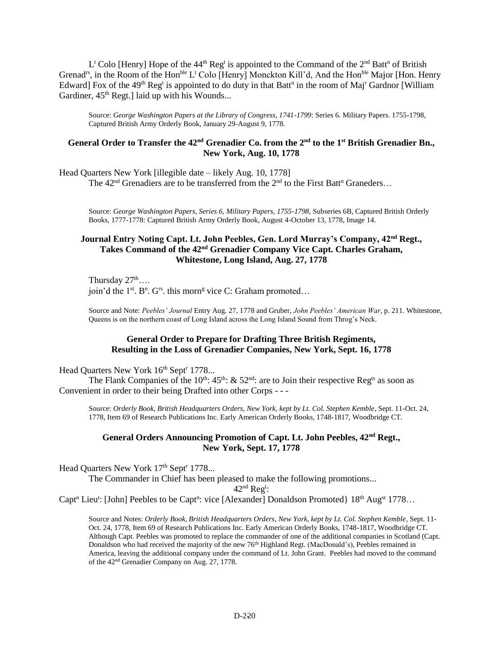L<sup>t</sup> Colo [Henry] Hope of the 44<sup>th</sup> Reg<sup>t</sup> is appointed to the Command of the  $2<sup>nd</sup>$  Batt<sup>n</sup> of British Grenad<sup>rs</sup>, in the Room of the Hon<sup>ble</sup> L<sup>t</sup> Colo [Henry] Monckton Kill'd, And the Hon<sup>ble</sup> Major [Hon. Henry Edward] Fox of the 49<sup>th</sup> Reg<sup>t</sup> is appointed to do duty in that Batt<sup>n</sup> in the room of Maj<sup>r</sup> Gardnor [William Gardiner,  $45<sup>th</sup>$  Regt.] laid up with his Wounds...

Source: *George Washington Papers at the Library of Congress, 1741-1799*: Series 6. Military Papers. 1755-1798, Captured British Army Orderly Book, January 29-August 9, 1778.

#### **General Order to Transfer the 42nd Grenadier Co. from the 2nd to the 1st British Grenadier Bn., New York, Aug. 10, 1778**

Head Quarters New York [illegible date – likely Aug. 10, 1778] The  $42<sup>nd</sup>$  Grenadiers are to be transferred from the  $2<sup>nd</sup>$  to the First Batt<sup>n</sup> Graneders...

Source: *George Washington Papers, Series 6, Military Papers, 1755-1798*, Subseries 6B, Captured British Orderly Books, 1777-1778: Captured British Army Orderly Book, August 4-October 13, 1778, Image 14.

#### **Journal Entry Noting Capt. Lt. John Peebles, Gen. Lord Murray's Company, 42nd Regt., Takes Command of the 42nd Grenadier Company Vice Capt. Charles Graham, Whitestone, Long Island, Aug. 27, 1778**

Thursday  $27^{\text{th}}$ …. join'd the  $1<sup>st</sup>$ . B<sup>n</sup>. G<sup>rs</sup>. this morn<sup>g</sup> vice C: Graham promoted...

Source and Note: *Peebles' Journal* Entry Aug. 27, 1778 and Gruber, *John Peebles' American War*, p. 211. Whitestone, Queens is on the northern coast of Long Island across the Long Island Sound from Throg's Neck.

#### **General Order to Prepare for Drafting Three British Regiments, Resulting in the Loss of Grenadier Companies, New York, Sept. 16, 1778**

Head Quarters New York 16<sup>th</sup> Sept<sup>r</sup> 1778...

The Flank Companies of the 10<sup>th</sup>:  $45$ <sup>th</sup>: &  $52$ <sup>nd</sup>: are to Join their respective Reg<sup>ts</sup> as soon as Convenient in order to their being Drafted into other Corps - - -

Source: *Orderly Book, British Headquarters Orders, New York, kept by Lt. Col. Stephen Kemble*, Sept. 11-Oct. 24, 1778, Item 69 of Research Publications Inc. Early American Orderly Books, 1748-1817, Woodbridge CT.

#### **General Orders Announcing Promotion of Capt. Lt. John Peebles, 42nd Regt., New York, Sept. 17, 1778**

Head Quarters New York 17<sup>th</sup> Sept<sup>r</sup> 1778...

The Commander in Chief has been pleased to make the following promotions...

 $42<sup>nd</sup>$  Reg<sup>t</sup>:

Capt<sup>n</sup> Lieu<sup>t</sup>: [John] Peebles to be Capt<sup>n</sup>: vice [Alexander] Donaldson Promoted} 18<sup>th</sup> Aug<sup>st</sup> 1778...

Source and Notes: *Orderly Book, British Headquarters Orders, New York, kept by Lt. Col. Stephen Kemble*, Sept. 11- Oct. 24, 1778, Item 69 of Research Publications Inc. Early American Orderly Books, 1748-1817, Woodbridge CT. Although Capt. Peebles was promoted to replace the commander of one of the additional companies in Scotland (Capt. Donaldson who had received the majority of the new 76<sup>th</sup> Highland Regt. (MacDonald's), Peebles remained in America, leaving the additional company under the command of Lt. John Grant. Peebles had moved to the command of the 42nd Grenadier Company on Aug. 27, 1778.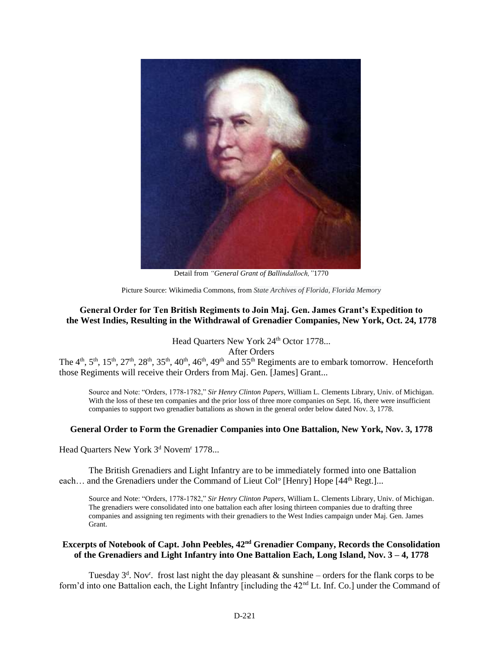

Detail from *"General Grant of Ballindalloch,"*1770

Picture Source: Wikimedia Commons, from *State Archives of Florida, Florida Memory*

#### **General Order for Ten British Regiments to Join Maj. Gen. James Grant's Expedition to the West Indies, Resulting in the Withdrawal of Grenadier Companies, New York, Oct. 24, 1778**

Head Quarters New York 24<sup>th</sup> Octor 1778...

After Orders

The 4<sup>th</sup>, 5<sup>th</sup>, 15<sup>th</sup>, 27<sup>th</sup>, 28<sup>th</sup>, 35<sup>th</sup>, 40<sup>th</sup>, 46<sup>th</sup>, 49<sup>th</sup> and 55<sup>th</sup> Regiments are to embark tomorrow. Henceforth those Regiments will receive their Orders from Maj. Gen. [James] Grant...

Source and Note: "Orders, 1778-1782," *Sir Henry Clinton Papers*, William L. Clements Library, Univ. of Michigan. With the loss of these ten companies and the prior loss of three more companies on Sept. 16, there were insufficient companies to support two grenadier battalions as shown in the general order below dated Nov. 3, 1778.

#### **General Order to Form the Grenadier Companies into One Battalion, New York, Nov. 3, 1778**

Head Quarters New York 3<sup>d</sup> Novem<sup>r</sup> 1778...

The British Grenadiers and Light Infantry are to be immediately formed into one Battalion each... and the Grenadiers under the Command of Lieut Col<sup>o</sup> [Henry] Hope [44<sup>th</sup> Regt.]...

Source and Note: "Orders, 1778-1782," *Sir Henry Clinton Papers*, William L. Clements Library, Univ. of Michigan. The grenadiers were consolidated into one battalion each after losing thirteen companies due to drafting three companies and assigning ten regiments with their grenadiers to the West Indies campaign under Maj. Gen. James Grant.

#### **Excerpts of Notebook of Capt. John Peebles, 42nd Grenadier Company, Records the Consolidation of the Grenadiers and Light Infantry into One Battalion Each, Long Island, Nov. 3 – 4, 1778**

Tuesday  $3<sup>d</sup>$ . Nov<sup>r</sup>. frost last night the day pleasant & sunshine – orders for the flank corps to be form'd into one Battalion each, the Light Infantry [including the 42<sup>nd</sup> Lt. Inf. Co.] under the Command of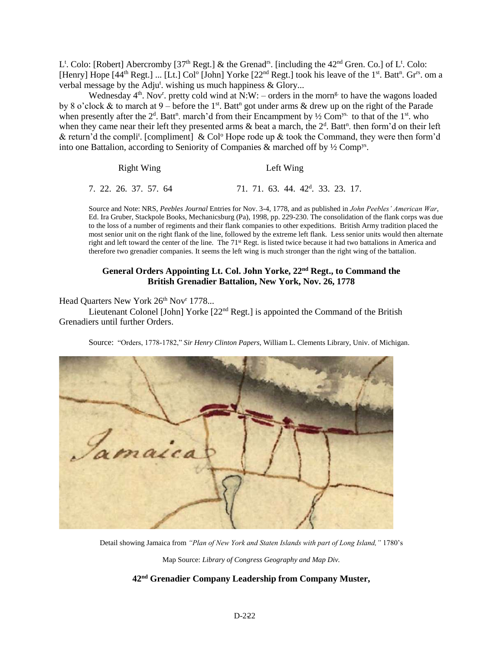L<sup>t</sup>. Colo: [Robert] Abercromby [37<sup>th</sup> Regt.] & the Grenad<sup>rs</sup>. [including the  $42<sup>nd</sup>$  Gren. Co.] of L<sup>t</sup>. Colo: [Henry] Hope [44<sup>th</sup> Regt.] ... [Lt.] Col<sup>o</sup> [John] Yorke [22<sup>nd</sup> Regt.] took his leave of the 1<sup>st</sup>. Batt<sup>n</sup>. Gr<sup>rs</sup>. om a verbal message by the Adju<sup>t</sup>. wishing us much happiness & Glory...

Wednesday  $4<sup>th</sup>$ . Nov<sup>r</sup>. pretty cold wind at N:W: – orders in the morn<sup>g.</sup> to have the wagons loaded by 8 o'clock & to march at 9 – before the 1<sup>st</sup>. Batt<sup>n</sup> got under arms & drew up on the right of the Parade when presently after the  $2<sup>d</sup>$ . Batt<sup>n</sup>. march'd from their Encampment by  $\frac{1}{2}$  Com<sup>ys.</sup> to that of the 1<sup>st</sup>. who when they came near their left they presented arms  $\&$  beat a march, the  $2<sup>d</sup>$ . Batt<sup>n</sup>. then form'd on their left & return'd the compli<sup>t</sup>. [compliment] & Col<sup>o</sup> Hope rode up & took the Command, they were then form'd into one Battalion, according to Seniority of Companies & marched off by ½ Compys .

| Right Wing            | Left Wing                                     |  |  |  |  |  |
|-----------------------|-----------------------------------------------|--|--|--|--|--|
| 7. 22. 26. 37. 57. 64 | 71. 71. 63. 44. 42 <sup>d</sup> . 33. 23. 17. |  |  |  |  |  |

Source and Note: NRS, *Peebles Journal* Entries for Nov. 3-4, 1778, and as published in *John Peebles' American War*, Ed. Ira Gruber, Stackpole Books, Mechanicsburg (Pa), 1998, pp. 229-230. The consolidation of the flank corps was due to the loss of a number of regiments and their flank companies to other expeditions. British Army tradition placed the most senior unit on the right flank of the line, followed by the extreme left flank. Less senior units would then alternate right and left toward the center of the line. The 71<sup>st</sup> Regt. is listed twice because it had two battalions in America and therefore two grenadier companies. It seems the left wing is much stronger than the right wing of the battalion.

#### **General Orders Appointing Lt. Col. John Yorke, 22nd Regt., to Command the British Grenadier Battalion, New York, Nov. 26, 1778**

Head Quarters New York 26<sup>th</sup> Nov<sup>r</sup> 1778...

Lieutenant Colonel [John] Yorke [22<sup>nd</sup> Regt.] is appointed the Command of the British Grenadiers until further Orders.

Source: "Orders, 1778-1782," *Sir Henry Clinton Papers*, William L. Clements Library, Univ. of Michigan.



Detail showing Jamaica from *"Plan of New York and Staten Islands with part of Long Island,"* 1780's Map Source: *Library of Congress Geography and Map Div.*

**42nd Grenadier Company Leadership from Company Muster,**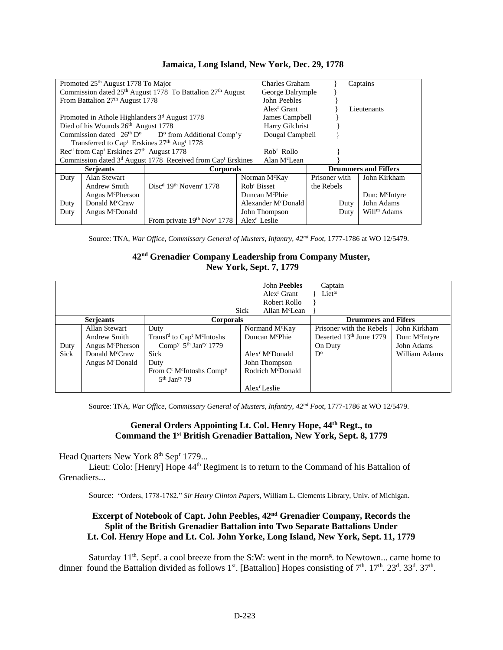|                                                           | Promoted 25 <sup>th</sup> August 1778 To Major                                  |                                                                                     | Charles Graham                  |               | Captains                   |
|-----------------------------------------------------------|---------------------------------------------------------------------------------|-------------------------------------------------------------------------------------|---------------------------------|---------------|----------------------------|
|                                                           |                                                                                 | Commission dated 25 <sup>th</sup> August 1778 To Battalion 27 <sup>th</sup> August  | George Dalrymple                |               |                            |
| From Battalion 27th August 1778                           |                                                                                 |                                                                                     | John Peebles                    |               |                            |
|                                                           |                                                                                 |                                                                                     | Alex <sup>r</sup> Grant         |               | Lieutenants                |
| Promoted in Athole Highlanders 3 <sup>d</sup> August 1778 |                                                                                 |                                                                                     | James Campbell                  |               |                            |
|                                                           | Died of his Wounds 26 <sup>th</sup> August 1778                                 |                                                                                     | Harry Gilchrist                 |               |                            |
|                                                           |                                                                                 | Commission dated $26th Do$ D <sup>o</sup> from Additional Comp'y                    | Dougal Campbell                 |               |                            |
|                                                           | Transferred to Cap <sup>t</sup> Erskines 27 <sup>th</sup> Aug <sup>t</sup> 1778 |                                                                                     |                                 |               |                            |
|                                                           | Rec <sup>d</sup> from Cap <sup>t</sup> Erskines 27 <sup>th</sup> August 1778    |                                                                                     | $Robt$ Rollo                    |               |                            |
|                                                           |                                                                                 | Commission dated 3 <sup>d</sup> August 1778 Received from Cap <sup>t</sup> Erskines | Alan M <sup>c</sup> Lean        |               |                            |
|                                                           | <b>Serjeants</b>                                                                | Corporals                                                                           | <b>Drummers and Fiffers</b>     |               |                            |
| Duty                                                      | Alan Stewart                                                                    |                                                                                     | Norman M <sup>c</sup> Kay       | Prisoner with | John Kirkham               |
|                                                           | Andrew Smith                                                                    | $Discd 19th November 1778$                                                          | Rob <sup>t</sup> Bisset         | the Rebels    |                            |
|                                                           | Angus M <sup>c</sup> Pherson                                                    |                                                                                     | Duncan M <sup>c</sup> Phie      |               | Dun: M <sup>c</sup> Intyre |
| Duty                                                      | Donald M <sup>c</sup> Craw                                                      |                                                                                     | Alexander M <sup>c</sup> Donald | Duty          | John Adams                 |
| Duty                                                      | Angus M <sup>c</sup> Donald                                                     |                                                                                     | John Thompson                   | Duty          | Will <sup>m</sup> Adams    |
|                                                           |                                                                                 | From private $19th Novr 1778$                                                       | Alex <sup>r</sup> Leslie        |               |                            |

#### **Jamaica, Long Island, New York, Dec. 29, 1778**

Source: TNA, *War Office, Commissary General of Musters, Infantry, 42nd Foot*, 1777-1786 at WO 12/5479.

#### **42nd Grenadier Company Leadership from Company Muster, New York, Sept. 7, 1779**

|      |                              |                                                                |      | John Peebles                            | Captain                    |                            |
|------|------------------------------|----------------------------------------------------------------|------|-----------------------------------------|----------------------------|----------------------------|
|      |                              |                                                                |      | Alex <sup>r</sup> Grant                 | Lietts                     |                            |
|      |                              |                                                                |      | Robert Rollo                            |                            |                            |
|      |                              |                                                                | Sick | Allan M <sup>c</sup> Lean               |                            |                            |
|      | <b>Serjeants</b>             | Corporals                                                      |      |                                         | <b>Drummers and Fifers</b> |                            |
|      | <b>Allan Stewart</b>         | Duty                                                           |      | Normand M <sup>c</sup> Kay              | Prisoner with the Rebels   | John Kirkham               |
|      | Andrew Smith                 | Transf <sup>d</sup> to Cap <sup>t</sup> M <sup>c</sup> Intoshs |      | Duncan M <sup>c</sup> Phie              | Deserted $13th$ June 1779  | Dun: M <sup>c</sup> Intyre |
| Duty | Angus M <sup>c</sup> Pherson | Comp <sup>y</sup> $5th$ Jan <sup>ry</sup> 1779                 |      |                                         | On Duty                    | John Adams                 |
| Sick | Donald M <sup>c</sup> Craw   | Sick                                                           |      | Alex <sup>r</sup> M <sup>c</sup> Donald | $D^{\circ}$                | William Adams              |
|      | Angus M <sup>c</sup> Donald  | Duty                                                           |      | John Thompson                           |                            |                            |
|      |                              | From $C^t$ M <sup>c</sup> Intoshs Comp <sup>y</sup>            |      | Rodrich M <sup>c</sup> Donald           |                            |                            |
|      |                              | $5th$ Jan <sup>ry</sup> 79                                     |      |                                         |                            |                            |
|      |                              |                                                                |      | Alex <sup>r</sup> Leslie                |                            |                            |

Source: TNA, *War Office, Commissary General of Musters, Infantry, 42nd Foot*, 1777-1786 at WO 12/5479.

#### **General Orders Appointing Lt. Col. Henry Hope, 44th Regt., to Command the 1 st British Grenadier Battalion, New York, Sept. 8, 1779**

Head Quarters New York 8<sup>th</sup> Sep<sup>r</sup> 1779...

Lieut: Colo: [Henry] Hope 44<sup>th</sup> Regiment is to return to the Command of his Battalion of Grenadiers...

Source: "Orders, 1778-1782," *Sir Henry Clinton Papers*, William L. Clements Library, Univ. of Michigan.

#### **Excerpt of Notebook of Capt. John Peebles, 42nd Grenadier Company, Records the Split of the British Grenadier Battalion into Two Separate Battalions Under Lt. Col. Henry Hope and Lt. Col. John Yorke, Long Island, New York, Sept. 11, 1779**

Saturday 11<sup>th</sup>. Sept<sup>r</sup>. a cool breeze from the S:W: went in the morn<sup>g</sup>. to Newtown... came home to dinner found the Battalion divided as follows  $1^{st}$ . [Battalion] Hopes consisting of  $7^{th}$ .  $17^{th}$ .  $23^{d}$ .  $33^{d}$ .  $37^{th}$ .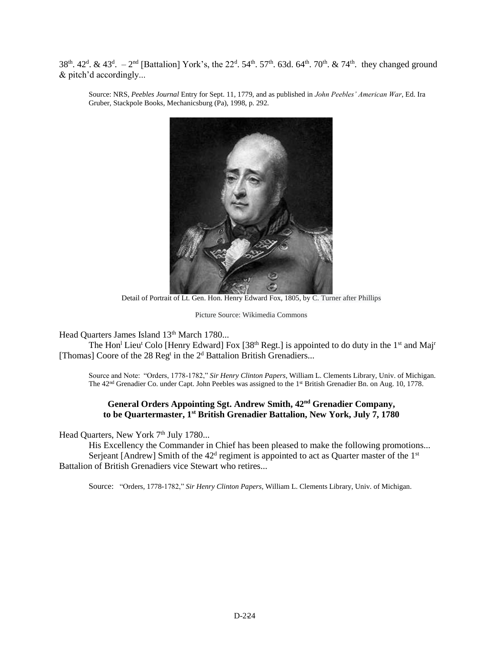38<sup>th</sup>. 42<sup>d</sup>. & 43<sup>d</sup>. -2<sup>nd</sup> [Battalion] York's, the 22<sup>d</sup>. 54<sup>th</sup>. 57<sup>th</sup>. 63d. 64<sup>th</sup>. 70<sup>th</sup>. & 74<sup>th</sup>. they changed ground & pitch'd accordingly...

Source: NRS, *Peebles Journal* Entry for Sept. 11, 1779, and as published in *John Peebles' American War*, Ed. Ira Gruber, Stackpole Books, Mechanicsburg (Pa), 1998, p. 292.



Detail of Portrait of Lt. Gen. Hon. Henry Edward Fox, 1805, by C. Turner after Phillips

Picture Source: Wikimedia Commons

Head Quarters James Island 13<sup>th</sup> March 1780...

The Hon<sup>1</sup> Lieu<sup>t</sup> Colo [Henry Edward] Fox [38<sup>th</sup> Regt.] is appointed to do duty in the 1<sup>st</sup> and Maj<sup>r</sup> [Thomas] Coore of the 28 Reg<sup>t</sup> in the  $2<sup>d</sup>$  Battalion British Grenadiers...

Source and Note: "Orders, 1778-1782," *Sir Henry Clinton Papers*, William L. Clements Library, Univ. of Michigan. The 42<sup>nd</sup> Grenadier Co. under Capt. John Peebles was assigned to the 1<sup>st</sup> British Grenadier Bn. on Aug. 10, 1778.

#### **General Orders Appointing Sgt. Andrew Smith, 42nd Grenadier Company, to be Quartermaster, 1st British Grenadier Battalion, New York, July 7, 1780**

Head Quarters, New York 7<sup>th</sup> July 1780...

His Excellency the Commander in Chief has been pleased to make the following promotions... Serjeant [Andrew] Smith of the  $42<sup>d</sup>$  regiment is appointed to act as Quarter master of the  $1<sup>st</sup>$ Battalion of British Grenadiers vice Stewart who retires...

Source: "Orders, 1778-1782," *Sir Henry Clinton Papers*, William L. Clements Library, Univ. of Michigan.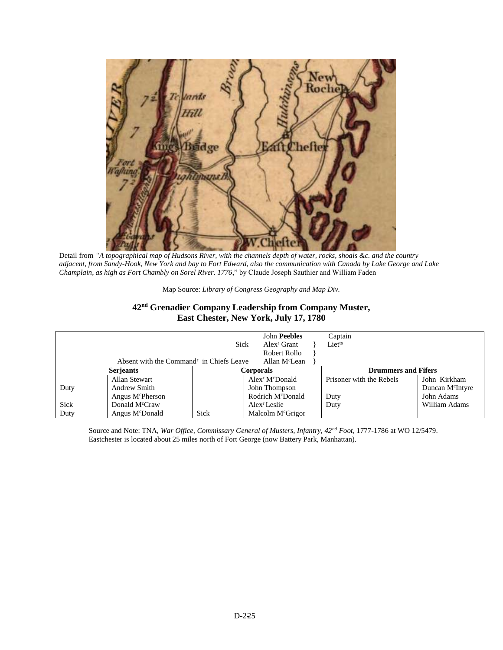

Detail from *"A topographical map of Hudsons River, with the channels depth of water, rocks, shoals &c. and the country adjacent, from Sandy-Hook, New York and bay to Fort Edward, also the communication with Canada by Lake George and Lake Champlain, as high as Fort Chambly on Sorel River. 1776*," by Claude Joseph Sauthier and William Faden

|  | Map Source: Library of Congress Geography and Map Div. |  |  |  |
|--|--------------------------------------------------------|--|--|--|
|  |                                                        |  |  |  |

### **42nd Grenadier Company Leadership from Company Muster, East Chester, New York, July 17, 1780**

|                  | Absent with the Command <sup>r</sup> in Chiefs Leave | Sick      | <b>John Peebles</b><br>Alex <sup>r</sup> Grant<br>Robert Rollo<br>Allan M <sup>c</sup> Lean | Captain<br>Lietts          |                                              |  |
|------------------|------------------------------------------------------|-----------|---------------------------------------------------------------------------------------------|----------------------------|----------------------------------------------|--|
| <b>Serjeants</b> |                                                      | Corporals |                                                                                             | <b>Drummers and Fifers</b> |                                              |  |
| Duty             | Allan Stewart<br>Andrew Smith                        |           | Alex <sup>r</sup> M <sup>c</sup> Donald<br>John Thompson                                    | Prisoner with the Rebels   | John Kirkham<br>Duncan M <sup>c</sup> Intyre |  |
|                  | Angus M <sup>c</sup> Pherson                         |           | Rodrich M <sup>c</sup> Donald                                                               | Duty                       | John Adams                                   |  |
| Sick             | Donald M <sup>c</sup> Craw                           |           | Alex <sup>r</sup> Leslie                                                                    | Duty                       | William Adams                                |  |
| Duty             | Angus M <sup>c</sup> Donald                          | Sick      | Malcolm M <sup>c</sup> Grigor                                                               |                            |                                              |  |

Source and Note: TNA, *War Office, Commissary General of Musters, Infantry, 42nd Foot*, 1777-1786 at WO 12/5479. Eastchester is located about 25 miles north of Fort George (now Battery Park, Manhattan).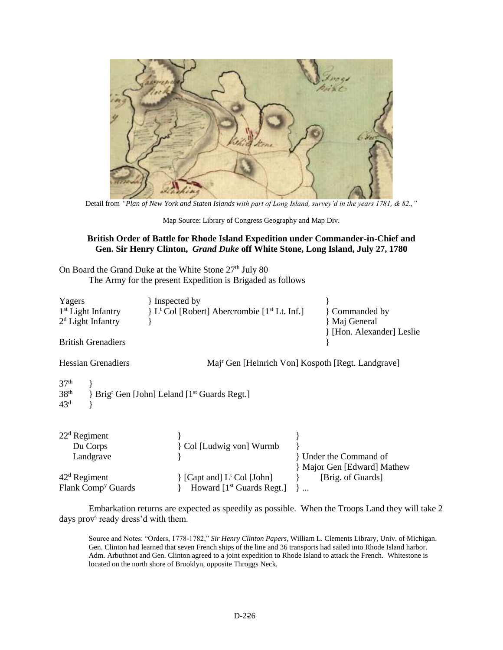

Detail from *"Plan of New York and Staten Islands with part of Long Island, survey'd in the years 1781, & 82.,"*

#### **British Order of Battle for Rhode Island Expedition under Commander-in-Chief and Gen. Sir Henry Clinton,** *Grand Duke* **off White Stone, Long Island, July 27, 1780**

On Board the Grand Duke at the White Stone  $27<sup>th</sup>$  July 80 The Army for the present Expedition is Brigaded as follows

| Yagers<br>$1st$ Light Infantry<br>$2d$ Light Infantry                                                                         | } Inspected by<br>L <sup>t</sup> Col [Robert] Abercrombie [1 <sup>st</sup> Lt. Inf.] | Commanded by<br>Maj General                                   |  |  |  |  |
|-------------------------------------------------------------------------------------------------------------------------------|--------------------------------------------------------------------------------------|---------------------------------------------------------------|--|--|--|--|
| <b>British Grenadiers</b>                                                                                                     |                                                                                      | [Hon. Alexander] Leslie                                       |  |  |  |  |
| <b>Hessian Grenadiers</b>                                                                                                     |                                                                                      | Maj <sup>r</sup> Gen [Heinrich Von] Kospoth [Regt. Landgrave] |  |  |  |  |
| 37 <sup>th</sup><br>38 <sup>th</sup><br>Brig <sup>r</sup> Gen [John] Leland [1 <sup>st</sup> Guards Regt.]<br>43 <sup>d</sup> |                                                                                      |                                                               |  |  |  |  |
| $22d$ Regiment                                                                                                                |                                                                                      |                                                               |  |  |  |  |
| Du Corps                                                                                                                      | Col [Ludwig von] Wurmb                                                               |                                                               |  |  |  |  |
| Landgrave                                                                                                                     |                                                                                      | Under the Command of                                          |  |  |  |  |
|                                                                                                                               |                                                                                      | Major Gen [Edward] Mathew                                     |  |  |  |  |
| $42d$ Regiment                                                                                                                | [Capt and] L <sup>t</sup> Col [John]                                                 | [Brig. of Guards]                                             |  |  |  |  |
| Flank Comp <sup>y</sup> Guards                                                                                                | Howard $[1st$ Guards Regt.]                                                          | $\cdots$                                                      |  |  |  |  |

Embarkation returns are expected as speedily as possible. When the Troops Land they will take 2 days prov<sup>s</sup> ready dress'd with them.

Source and Notes: "Orders, 1778-1782," *Sir Henry Clinton Papers*, William L. Clements Library, Univ. of Michigan. Gen. Clinton had learned that seven French ships of the line and 36 transports had sailed into Rhode Island harbor. Adm. Arbuthnot and Gen. Clinton agreed to a joint expedition to Rhode Island to attack the French. Whitestone is located on the north shore of Brooklyn, opposite Throggs Neck.

Map Source: Library of Congress Geography and Map Div.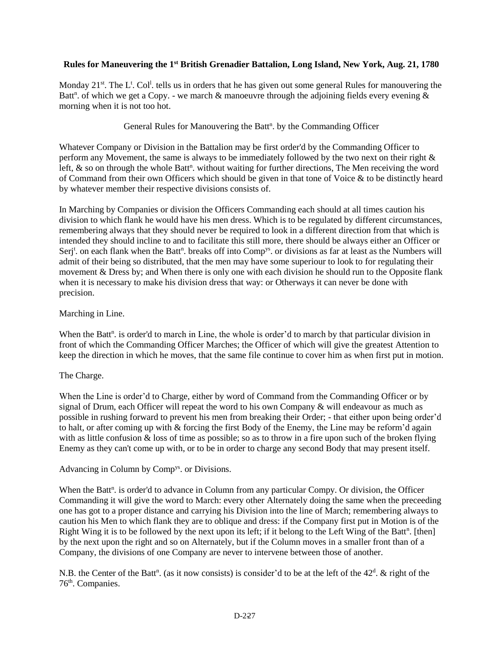#### **Rules for Maneuvering the 1st British Grenadier Battalion, Long Island, New York, Aug. 21, 1780**

Monday 21<sup>st</sup>. The L<sup>t</sup>. Col<sup>l</sup>. tells us in orders that he has given out some general Rules for manouvering the Batt<sup>n</sup>. of which we get a Copy. - we march & manoeuvre through the adjoining fields every evening & morning when it is not too hot.

#### General Rules for Manouvering the Batt<sup>n</sup>. by the Commanding Officer

Whatever Company or Division in the Battalion may be first order'd by the Commanding Officer to perform any Movement, the same is always to be immediately followed by the two next on their right & left,  $\&$  so on through the whole Batt<sup>n</sup>. without waiting for further directions, The Men receiving the word of Command from their own Officers which should be given in that tone of Voice & to be distinctly heard by whatever member their respective divisions consists of.

In Marching by Companies or division the Officers Commanding each should at all times caution his division to which flank he would have his men dress. Which is to be regulated by different circumstances, remembering always that they should never be required to look in a different direction from that which is intended they should incline to and to facilitate this still more, there should be always either an Officer or Serj<sup>t</sup>. on each flank when the Batt<sup>n</sup>. breaks off into Comp<sup>ys</sup>. or divisions as far at least as the Numbers will admit of their being so distributed, that the men may have some superiour to look to for regulating their movement & Dress by; and When there is only one with each division he should run to the Opposite flank when it is necessary to make his division dress that way: or Otherways it can never be done with precision.

#### Marching in Line.

When the Batt<sup>n</sup>. is order'd to march in Line, the whole is order'd to march by that particular division in front of which the Commanding Officer Marches; the Officer of which will give the greatest Attention to keep the direction in which he moves, that the same file continue to cover him as when first put in motion.

#### The Charge.

When the Line is order'd to Charge, either by word of Command from the Commanding Officer or by signal of Drum, each Officer will repeat the word to his own Company & will endeavour as much as possible in rushing forward to prevent his men from breaking their Order; - that either upon being order'd to halt, or after coming up with & forcing the first Body of the Enemy, the Line may be reform'd again with as little confusion & loss of time as possible; so as to throw in a fire upon such of the broken flying Enemy as they can't come up with, or to be in order to charge any second Body that may present itself.

#### Advancing in Column by Compys. or Divisions.

When the Batt<sup>n</sup>. is order'd to advance in Column from any particular Compy. Or division, the Officer Commanding it will give the word to March: every other Alternately doing the same when the preceeding one has got to a proper distance and carrying his Division into the line of March; remembering always to caution his Men to which flank they are to oblique and dress: if the Company first put in Motion is of the Right Wing it is to be followed by the next upon its left; if it belong to the Left Wing of the Batt<sup>n</sup>. [then] by the next upon the right and so on Alternately, but if the Column moves in a smaller front than of a Company, the divisions of one Company are never to intervene between those of another.

N.B. the Center of the Batt<sup>n</sup>. (as it now consists) is consider'd to be at the left of the  $42<sup>d</sup>$ . & right of the 76th. Companies.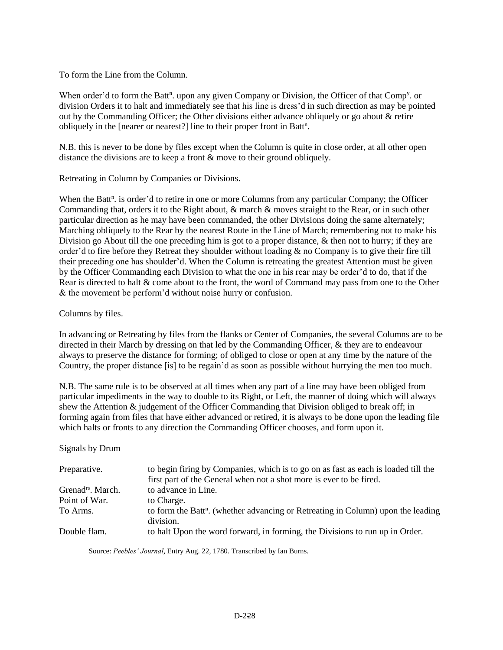To form the Line from the Column.

When order'd to form the Batt<sup>n</sup>. upon any given Company or Division, the Officer of that Comp<sup>y</sup>. or division Orders it to halt and immediately see that his line is dress'd in such direction as may be pointed out by the Commanding Officer; the Other divisions either advance obliquely or go about & retire obliquely in the [nearer or nearest?] line to their proper front in Batt<sup>n</sup>.

N.B. this is never to be done by files except when the Column is quite in close order, at all other open distance the divisions are to keep a front & move to their ground obliquely.

Retreating in Column by Companies or Divisions.

When the Batt<sup>n</sup>. is order'd to retire in one or more Columns from any particular Company; the Officer Commanding that, orders it to the Right about, & march & moves straight to the Rear, or in such other particular direction as he may have been commanded, the other Divisions doing the same alternately; Marching obliquely to the Rear by the nearest Route in the Line of March; remembering not to make his Division go About till the one preceding him is got to a proper distance, & then not to hurry; if they are order'd to fire before they Retreat they shoulder without loading  $\&$  no Company is to give their fire till their preceding one has shoulder'd. When the Column is retreating the greatest Attention must be given by the Officer Commanding each Division to what the one in his rear may be order'd to do, that if the Rear is directed to halt & come about to the front, the word of Command may pass from one to the Other & the movement be perform'd without noise hurry or confusion.

Columns by files.

In advancing or Retreating by files from the flanks or Center of Companies, the several Columns are to be directed in their March by dressing on that led by the Commanding Officer, & they are to endeavour always to preserve the distance for forming; of obliged to close or open at any time by the nature of the Country, the proper distance [is] to be regain'd as soon as possible without hurrying the men too much.

N.B. The same rule is to be observed at all times when any part of a line may have been obliged from particular impediments in the way to double to its Right, or Left, the manner of doing which will always shew the Attention & judgement of the Officer Commanding that Division obliged to break off; in forming again from files that have either advanced or retired, it is always to be done upon the leading file which halts or fronts to any direction the Commanding Officer chooses, and form upon it.

Signals by Drum

| Preparative.                  | to begin firing by Companies, which is to go on as fast as each is loaded till the<br>first part of the General when not a shot more is ever to be fired. |
|-------------------------------|-----------------------------------------------------------------------------------------------------------------------------------------------------------|
| Grenad <sup>rs</sup> . March. | to advance in Line.                                                                                                                                       |
| Point of War.                 | to Charge.                                                                                                                                                |
| To Arms.                      | to form the Batt <sup>n</sup> . (whether advancing or Retreating in Column) upon the leading<br>division.                                                 |
| Double flam.                  | to halt Upon the word forward, in forming, the Divisions to run up in Order.                                                                              |

Source: *Peebles' Journal*, Entry Aug. 22, 1780. Transcribed by Ian Burns.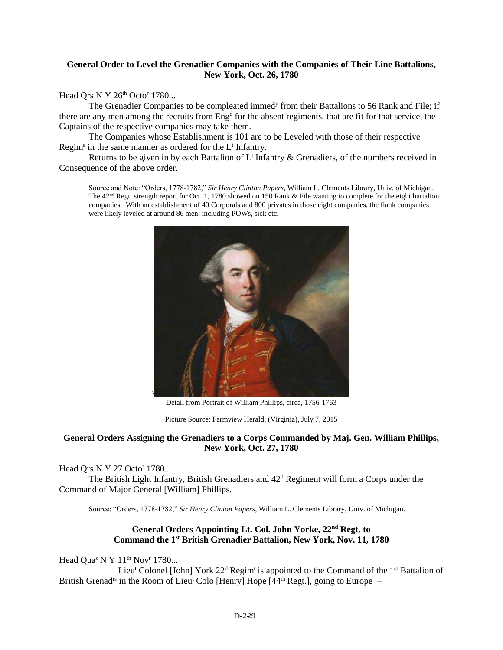#### **General Order to Level the Grenadier Companies with the Companies of Their Line Battalions, New York, Oct. 26, 1780**

Head Qrs N Y 26<sup>th</sup> Octo<sup>r</sup> 1780...

The Grenadier Companies to be compleated immed<sup>y</sup> from their Battalions to 56 Rank and File; if there are any men among the recruits from Eng<sup>d</sup> for the absent regiments, that are fit for that service, the Captains of the respective companies may take them.

The Companies whose Establishment is 101 are to be Leveled with those of their respective Regim<sup>s</sup> in the same manner as ordered for the L<sup>t</sup> Infantry.

Returns to be given in by each Battalion of  $L<sup>t</sup>$  Infantry & Grenadiers, of the numbers received in Consequence of the above order.

Source and Note: "Orders, 1778-1782," *Sir Henry Clinton Papers*, William L. Clements Library, Univ. of Michigan. The  $42<sup>nd</sup>$  Regt. strength report for Oct. 1, 1780 showed on 150 Rank & File wanting to complete for the eight battalion companies. With an establishment of 40 Corporals and 800 privates in those eight companies, the flank companies were likely leveled at around 86 men, including POWs, sick etc.



Detail from Portrait of William Phillips, circa, 1756-1763

Picture Source: Farmview Herald, (Virginia), July 7, 2015

#### **General Orders Assigning the Grenadiers to a Corps Commanded by Maj. Gen. William Phillips, New York, Oct. 27, 1780**

Head Qrs N Y 27 Octo<sup>r</sup> 1780...

The British Light Infantry, British Grenadiers and  $42<sup>d</sup>$  Regiment will form a Corps under the Command of Major General [William] Phillips.

Source: "Orders, 1778-1782," *Sir Henry Clinton Papers*, William L. Clements Library, Univ. of Michigan.

#### **General Orders Appointing Lt. Col. John Yorke, 22nd Regt. to Command the 1st British Grenadier Battalion, New York, Nov. 11, 1780**

Head Qua<sup>s</sup> N Y 11<sup>th</sup> Nov<sup>r</sup> 1780...

Lieu<sup>t</sup> Colonel [John] York  $22<sup>d</sup>$  Regim<sup>t</sup> is appointed to the Command of the 1<sup>st</sup> Battalion of British Grenad<sup>rs</sup> in the Room of Lieu<sup>t</sup> Colo [Henry] Hope  $[44<sup>th</sup>$  Regt.], going to Europe –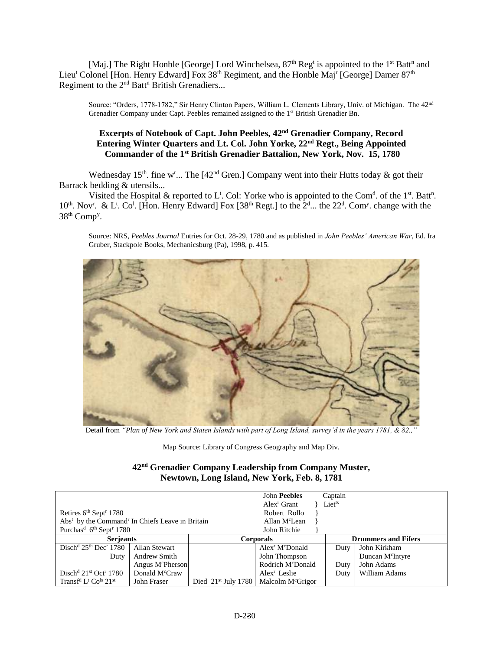[Maj.] The Right Honble [George] Lord Winchelsea,  $87<sup>th</sup>$  Reg<sup>t</sup> is appointed to the 1<sup>st</sup> Batt<sup>n</sup> and Lieu<sup>t</sup> Colonel [Hon. Henry Edward] Fox 38<sup>th</sup> Regiment, and the Honble Maj<sup>r</sup> [George] Damer 87<sup>th</sup> Regiment to the 2<sup>nd</sup> Batt<sup>n</sup> British Grenadiers...

Source: "Orders, 1778-1782," Sir Henry Clinton Papers, William L. Clements Library, Univ. of Michigan. The 42<sup>nd</sup> Grenadier Company under Capt. Peebles remained assigned to the 1<sup>st</sup> British Grenadier Bn.

#### **Excerpts of Notebook of Capt. John Peebles, 42nd Grenadier Company, Record Entering Winter Quarters and Lt. Col. John Yorke, 22nd Regt., Being Appointed Commander of the 1st British Grenadier Battalion, New York, Nov. 15, 1780**

Wednesday 15<sup>th</sup>. fine w<sup>r</sup>... The [42<sup>nd</sup> Gren.] Company went into their Hutts today & got their Barrack bedding & utensils...

Visited the Hospital & reported to  $L^t$ . Col: Yorke who is appointed to the Com<sup>d</sup>. of the 1<sup>st</sup>. Batt<sup>n</sup>.  $10^{th}$ . Nov<sup>r</sup>. & L<sup>t</sup>. Co<sup>1</sup>. [Hon. Henry Edward] Fox [38<sup>th</sup> Regt.] to the  $2^{d}$ ... the  $22^{d}$ . Com<sup>y</sup>. change with the 38<sup>th</sup> Comp<sup>y</sup>.

Source: NRS, *Peebles Journal* Entries for Oct. 28-29, 1780 and as published in *John Peebles' American War*, Ed. Ira Gruber, Stackpole Books, Mechanicsburg (Pa), 1998, p. 415.



Detail from *"Plan of New York and Staten Islands with part of Long Island, survey'd in the years 1781, & 82.*,

Map Source: Library of Congress Geography and Map Div.

#### **42nd Grenadier Company Leadership from Company Muster, Newtown, Long Island, New York, Feb. 8, 1781**

|                                                                         |                              |                       | John Peebles                            | Captain                    |                              |
|-------------------------------------------------------------------------|------------------------------|-----------------------|-----------------------------------------|----------------------------|------------------------------|
|                                                                         |                              |                       | Alex <sup>r</sup> Grant                 | Lietts                     |                              |
| Retires 6 <sup>th</sup> Sept <sup>r</sup> 1780                          |                              |                       | Robert Rollo                            |                            |                              |
| Abs <sup>t</sup> by the Command <sup>r</sup> In Chiefs Leave in Britain |                              |                       | Allan M <sup>c</sup> Lean               |                            |                              |
| Purchas <sup>d</sup> 6 <sup>th</sup> Sept <sup>r</sup> 1780             |                              |                       | John Ritchie                            |                            |                              |
| <b>Serjeants</b>                                                        |                              |                       | <b>Corporals</b>                        | <b>Drummers and Fifers</b> |                              |
| $Distd 25th Decr 1780$                                                  | Allan Stewart                |                       | Alex <sup>r</sup> M <sup>c</sup> Donald | Duty                       | John Kirkham                 |
| Duty                                                                    | Andrew Smith                 |                       | John Thompson                           |                            | Duncan M <sup>c</sup> Intyre |
|                                                                         | Angus M <sup>c</sup> Pherson |                       | Rodrich M <sup>c</sup> Donald           | Duty                       | John Adams                   |
| Disch <sup>d</sup> $21st$ Oct <sup>r</sup> 1780                         | Donald M <sup>c</sup> Craw   |                       | Alex <sup>r</sup> Leslie                | Duty                       | William Adams                |
| Transf <sup>d</sup> L <sup>t</sup> Co <sup>ls</sup> $21$ <sup>st</sup>  | John Fraser                  | Died $21st$ July 1780 | Malcolm M <sup>c</sup> Grigor           |                            |                              |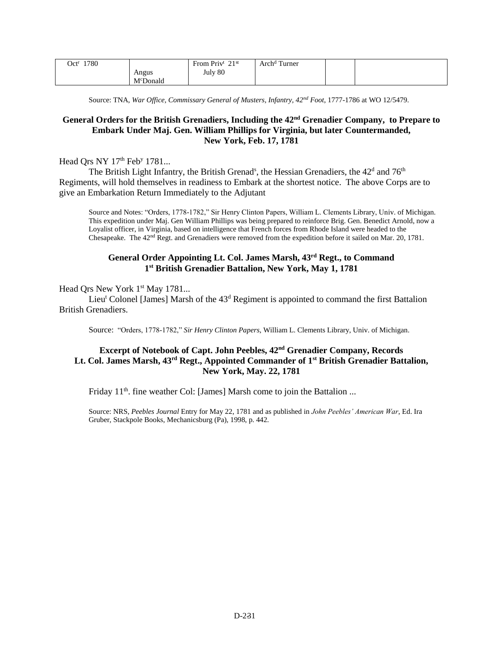| 1780<br>Oct <sup>r</sup> |          | 21st<br>From Priv <sup>t</sup><br>∸ | Arch <sup>d</sup> Turner |  |
|--------------------------|----------|-------------------------------------|--------------------------|--|
|                          | Angus    | July 80                             |                          |  |
|                          | McDonald |                                     |                          |  |

Source: TNA, *War Office, Commissary General of Musters, Infantry, 42nd Foot*, 1777-1786 at WO 12/5479.

#### **General Orders for the British Grenadiers, Including the 42nd Grenadier Company, to Prepare to Embark Under Maj. Gen. William Phillips for Virginia, but later Countermanded, New York, Feb. 17, 1781**

#### Head Qrs NY 17<sup>th</sup> Feb<sup>y</sup> 1781...

The British Light Infantry, the British Grenad<sup>s</sup>, the Hessian Grenadiers, the  $42<sup>d</sup>$  and  $76<sup>th</sup>$ Regiments, will hold themselves in readiness to Embark at the shortest notice. The above Corps are to give an Embarkation Return Immediately to the Adjutant

Source and Notes: "Orders, 1778-1782," Sir Henry Clinton Papers, William L. Clements Library, Univ. of Michigan. This expedition under Maj. Gen William Phillips was being prepared to reinforce Brig. Gen. Benedict Arnold, now a Loyalist officer, in Virginia, based on intelligence that French forces from Rhode Island were headed to the Chesapeake. The 42nd Regt. and Grenadiers were removed from the expedition before it sailed on Mar. 20, 1781.

#### **General Order Appointing Lt. Col. James Marsh, 43rd Regt., to Command 1 st British Grenadier Battalion, New York, May 1, 1781**

#### Head Qrs New York 1<sup>st</sup> May 1781...

Lieu<sup>t</sup> Colonel [James] Marsh of the  $43<sup>d</sup>$  Regiment is appointed to command the first Battalion British Grenadiers.

Source: "Orders, 1778-1782," *Sir Henry Clinton Papers*, William L. Clements Library, Univ. of Michigan.

#### **Excerpt of Notebook of Capt. John Peebles, 42nd Grenadier Company, Records Lt. Col. James Marsh, 43rd Regt., Appointed Commander of 1st British Grenadier Battalion, New York, May. 22, 1781**

Friday 11<sup>th</sup>. fine weather Col: [James] Marsh come to join the Battalion ...

Source: NRS, *Peebles Journal* Entry for May 22, 1781 and as published in *John Peebles' American War*, Ed. Ira Gruber, Stackpole Books, Mechanicsburg (Pa), 1998, p. 442.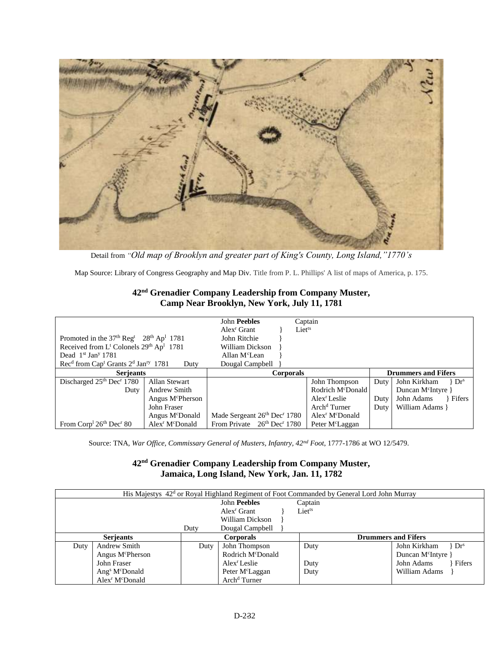

Detail from *"Old map of Brooklyn and greater part of King's County, Long Island,"1770's*

Map Source: Library of Congress Geography and Map Div. Title from P. L. Phillips' A list of maps of America, p. 175.

| 42 <sup>nd</sup> Grenadier Company Leadership from Company Muster, |
|--------------------------------------------------------------------|
| Camp Near Brooklyn, New York, July 11, 1781                        |

| Promoted in the $37th$ Reg <sup>t</sup> $28th$ Ap <sup>1</sup> 1781<br>Received from $L^t$ Colonels $29th$ Ap <sup>1</sup> 1781<br>Dead $1st$ Jan <sup>y</sup> 1781 |                                         | <b>John Peebles</b><br>Alex <sup>r</sup> Grant<br>John Ritchie<br>William Dickson<br>Allan M <sup>c</sup> Lean | Captain<br>Liet <sup>ts</sup>           |      |                                |
|---------------------------------------------------------------------------------------------------------------------------------------------------------------------|-----------------------------------------|----------------------------------------------------------------------------------------------------------------|-----------------------------------------|------|--------------------------------|
| Rec <sup>d</sup> from Cap <sup>t</sup> Grants 2 <sup>d</sup> Jan <sup>ry</sup> 1781                                                                                 | Duty                                    | Dougal Campbell                                                                                                |                                         |      |                                |
| <b>Serjeants</b>                                                                                                                                                    |                                         | <b>Corporals</b>                                                                                               |                                         |      | <b>Drummers and Fifers</b>     |
| Discharged 25th Dec <sup>r</sup> 1780                                                                                                                               | Allan Stewart                           |                                                                                                                | John Thompson                           | Duty | John Kirkham<br>$Dr^s$         |
| Duty                                                                                                                                                                | Andrew Smith                            |                                                                                                                | Rodrich M <sup>c</sup> Donald           |      | Duncan M <sup>c</sup> Intyre } |
|                                                                                                                                                                     | Angus M <sup>c</sup> Pherson            |                                                                                                                | Alex <sup>r</sup> Leslie                | Duty | John Adams<br>Fifers           |
|                                                                                                                                                                     | John Fraser                             |                                                                                                                | Arch <sup>d</sup> Turner                | Duty | William Adams }                |
|                                                                                                                                                                     | Angus M <sup>c</sup> Donald             | Made Sergeant 26th Dec <sup>r</sup> 1780                                                                       | Alex <sup>r</sup> M <sup>c</sup> Donald |      |                                |
| From Corp <sup>1</sup> 26 <sup>th</sup> Dec <sup>r</sup> 80                                                                                                         | Alex <sup>r</sup> M <sup>c</sup> Donald | From Private 26th Dec <sup>r</sup> 1780                                                                        | Peter M <sup>c</sup> Laggan             |      |                                |

Source: TNA, *War Office, Commissary General of Musters, Infantry, 42nd Foot*, 1777-1786 at WO 12/5479.

### **42nd Grenadier Company Leadership from Company Muster, Jamaica, Long Island, New York, Jan. 11, 1782**

| His Majestys 42 <sup>d</sup> or Royal Highland Regiment of Foot Commanded by General Lord John Murray |                                         |      |                               |             |                                               |  |  |  |
|-------------------------------------------------------------------------------------------------------|-----------------------------------------|------|-------------------------------|-------------|-----------------------------------------------|--|--|--|
|                                                                                                       |                                         |      | <b>John Peebles</b>           | Captain     |                                               |  |  |  |
|                                                                                                       |                                         |      | Alex <sup>r</sup> Grant       | $Liet^{ts}$ |                                               |  |  |  |
|                                                                                                       |                                         |      | William Dickson               |             |                                               |  |  |  |
|                                                                                                       |                                         | Duty | Dougal Campbell               |             |                                               |  |  |  |
|                                                                                                       | <b>Serjeants</b>                        |      | <b>Corporals</b>              |             | <b>Drummers and Fifers</b>                    |  |  |  |
| Duty                                                                                                  | Andrew Smith                            | Duty | John Thompson                 | Duty        | John Kirkham<br>$\rightarrow$ Dr <sup>s</sup> |  |  |  |
|                                                                                                       | Angus M <sup>c</sup> Pherson            |      | Rodrich M <sup>c</sup> Donald |             | Duncan M <sup>c</sup> Intyre                  |  |  |  |
| John Fraser                                                                                           |                                         |      | Alex <sup>r</sup> Leslie      | Duty        | John Adams<br>Fifers                          |  |  |  |
|                                                                                                       | Ang <sup>s</sup> $M^c$ Donald           |      | Peter M <sup>c</sup> Laggan   | Duty        | William Adams                                 |  |  |  |
|                                                                                                       | Alex <sup>r</sup> M <sup>c</sup> Donald |      | Arch <sup>d</sup> Turner      |             |                                               |  |  |  |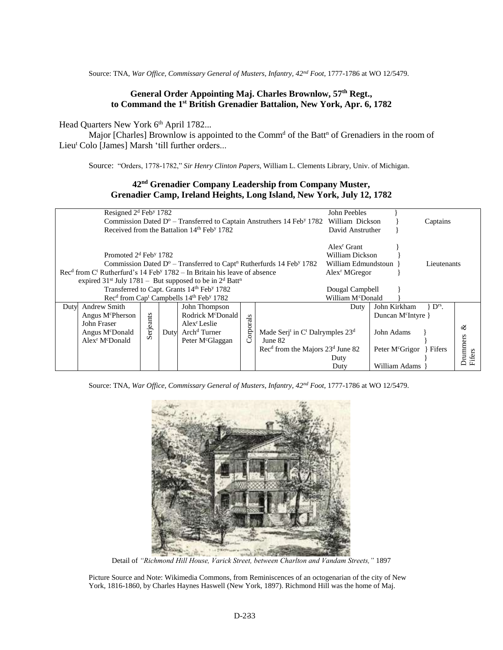Source: TNA, *War Office, Commissary General of Musters, Infantry, 42nd Foot*, 1777-1786 at WO 12/5479.

#### **General Order Appointing Maj. Charles Brownlow, 57th Regt., to Command the 1 st British Grenadier Battalion, New York, Apr. 6, 1782**

Head Quarters New York 6<sup>th</sup> April 1782...

Major [Charles] Brownlow is appointed to the Comm<sup>d</sup> of the Batt<sup>n</sup> of Grenadiers in the room of Lieu<sup>t</sup> Colo [James] Marsh 'till further orders...

Source: "Orders, 1778-1782," *Sir Henry Clinton Papers*, William L. Clements Library, Univ. of Michigan.

#### **42nd Grenadier Company Leadership from Company Muster, Grenadier Camp, Ireland Heights, Long Island, New York, July 12, 1782**

| Resigned $2d$ Feb <sup>y</sup> 1782<br>John Peebles<br>Commission Dated $D^{\circ}$ – Transferred to Captain Anstruthers 14 Feb <sup>y</sup> 1782 William Dickson<br>Received from the Battalion 14 <sup>th</sup> Feb <sup>y</sup> 1782                                                                                                                                                                          |  |  |  |  |               |                                                                                                                |                      | David Anstruther                                                                                                        | Captains                  |                        |
|------------------------------------------------------------------------------------------------------------------------------------------------------------------------------------------------------------------------------------------------------------------------------------------------------------------------------------------------------------------------------------------------------------------|--|--|--|--|---------------|----------------------------------------------------------------------------------------------------------------|----------------------|-------------------------------------------------------------------------------------------------------------------------|---------------------------|------------------------|
| Promoted 2 <sup>d</sup> Feb <sup>y</sup> 1782<br>Commission Dated $D^{\circ}$ – Transferred to Capt <sup>n</sup> Rutherfurds 14 Feb <sup>y</sup> 1782<br>$\text{Rec}^d$ from $\text{C}^t$ Rutherfurd's 14 Feb <sup>y</sup> 1782 – In Britain his leave of absence<br>expired 31 <sup>st</sup> July 1781 – But supposed to be in $2d$ Batt <sup>n</sup><br>Transferred to Capt. Grants 14th Feb <sup>y</sup> 1782 |  |  |  |  |               |                                                                                                                |                      | William Dickson<br>William Edmundstoun<br>Alex <sup>r</sup> MGregor<br>Dougal Campbell<br>William M <sup>c</sup> Donald | Lieutenants               |                        |
| Rec <sup>d</sup> from Cap <sup>t</sup> Campbells 14 <sup>th</sup> Feb <sup>y</sup> 1782<br><b>Andrew Smith</b><br>John Thompson<br>Duty<br>Rodrick M <sup>c</sup> Donald<br>Angus M <sup>c</sup> Pherson<br>Serjeants<br>John Fraser<br>Alex <sup>r</sup> Leslie<br>Arch <sup>d</sup> Turner<br>Angus M <sup>c</sup> Donald<br>Duty<br>Alex <sup>r</sup> M <sup>c</sup> Donald<br>Peter M <sup>c</sup> Glaggan   |  |  |  |  | orporals<br>O | Made Serj <sup>t</sup> in $C^t$ Dalrymples $23^d$<br>June 82<br>$Recd$ from the Majors 23 <sup>d</sup> June 82 | Duty<br>Duty<br>Duty | John Kirkham<br>Duncan M <sup>c</sup> Intyre }<br>John Adams<br>Peter M <sup>c</sup> Grigor<br>William Adams            | $\rm{P}^{rs}$ .<br>Fifers | ళ<br>Drummers<br>ifers |

Source: TNA, *War Office, Commissary General of Musters, Infantry, 42nd Foot*, 1777-1786 at WO 12/5479.



Detail of *"Richmond Hill House, Varick Street, between Charlton and Vandam Streets,"* 1897

Picture Source and Note: Wikimedia Commons, from Reminiscences of an octogenarian of the city of New York, 1816-1860, by Charles Haynes Haswell (New York, 1897). Richmond Hill was the home of Maj.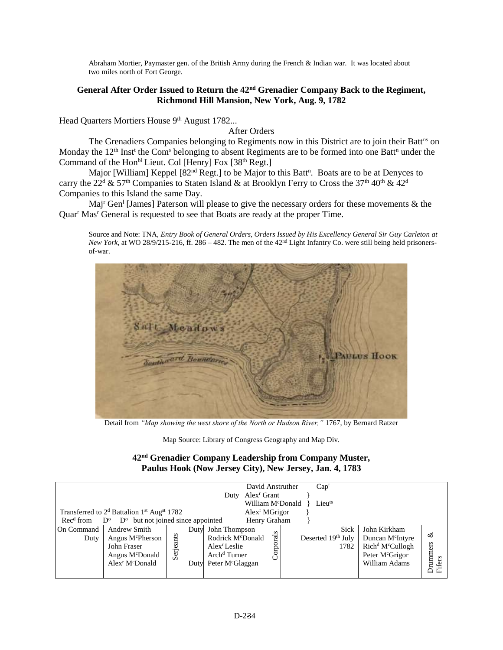Abraham Mortier, Paymaster gen. of the British Army during the French & Indian war. It was located about two miles north of Fort George.

#### **General After Order Issued to Return the 42nd Grenadier Company Back to the Regiment, Richmond Hill Mansion, New York, Aug. 9, 1782**

Head Quarters Mortiers House 9<sup>th</sup> August 1782...

After Orders

The Grenadiers Companies belonging to Regiments now in this District are to join their Batt<sup>ns</sup> on Monday the 12<sup>th</sup> Inst<sup>t</sup> the Com<sup>s</sup> belonging to absent Regiments are to be formed into one Batt<sup>n</sup> under the Command of the Hon<sup>bl</sup> Lieut. Col [Henry] Fox [38<sup>th</sup> Regt.]

Major [William] Keppel [82<sup>nd</sup> Regt.] to be Major to this Batt<sup>n</sup>. Boats are to be at Denyces to carry the 22<sup>d</sup> & 57<sup>th</sup> Companies to Staten Island & at Brooklyn Ferry to Cross the 37<sup>th</sup> 40<sup>th</sup> & 42<sup>d</sup> Companies to this Island the same Day.

Maj<sup>r</sup> Gen<sup>1</sup> [James] Paterson will please to give the necessary orders for these movements & the Quar<sup>r</sup> Mas<sup>r</sup> General is requested to see that Boats are ready at the proper Time.

Source and Note: TNA, *Entry Book of General Orders, Orders Issued by His Excellency General Sir Guy Carleton at New York*, at WO 28/9/215-216, ff. 286 – 482. The men of the  $42<sup>nd</sup>$  Light Infantry Co. were still being held prisonersof-war.



Detail from *"Map showing the west shore of the North or Hudson River,"* 1767, by Bernard Ratzer

Map Source: Library of Congress Geography and Map Div.

#### **42nd Grenadier Company Leadership from Company Muster, Paulus Hook (Now Jersey City), New Jersey, Jan. 4, 1783**

| David Anstruther<br>Cap <sup>t</sup><br>Alex <sup>r</sup> Grant<br>Duty<br>William McDonald<br>Lieuts<br>Transferred to 2 <sup>d</sup> Battalion 1 <sup>st</sup> Aug <sup>st</sup> 1782<br>Alex <sup>r</sup> MGrigor |                                                                                                                                              |           |              |                                                                                                                                        |               |                                           |                                                                                                                                          |                         |  |  |
|----------------------------------------------------------------------------------------------------------------------------------------------------------------------------------------------------------------------|----------------------------------------------------------------------------------------------------------------------------------------------|-----------|--------------|----------------------------------------------------------------------------------------------------------------------------------------|---------------|-------------------------------------------|------------------------------------------------------------------------------------------------------------------------------------------|-------------------------|--|--|
| Rec <sup>d</sup> from D <sup>o</sup>                                                                                                                                                                                 | but not joined since appointed<br>$D^{\rm o}$                                                                                                |           |              | Henry Graham                                                                                                                           |               |                                           |                                                                                                                                          |                         |  |  |
| On Command<br>Duty                                                                                                                                                                                                   | <b>Andrew Smith</b><br>Angus M <sup>c</sup> Pherson<br>John Fraser<br>Angus M <sup>c</sup> Donald<br>Alex <sup>r</sup> M <sup>c</sup> Donald | Serjeants | Duty<br>Dutv | John Thompson<br>Rodrick M <sup>c</sup> Donald<br>Alex <sup>r</sup> Leslie<br>Arch <sup>d</sup> Turner<br>Peter M <sup>c</sup> Glaggan | s<br>Corporal | <b>Sick</b><br>Deserted 19th July<br>1782 | John Kirkham<br>Duncan M <sup>c</sup> Intyre<br>Rich <sup>d</sup> M <sup>c</sup> Cullogh<br>Peter M <sup>c</sup> Grigor<br>William Adams | ళ<br>Drummers<br>Fifers |  |  |